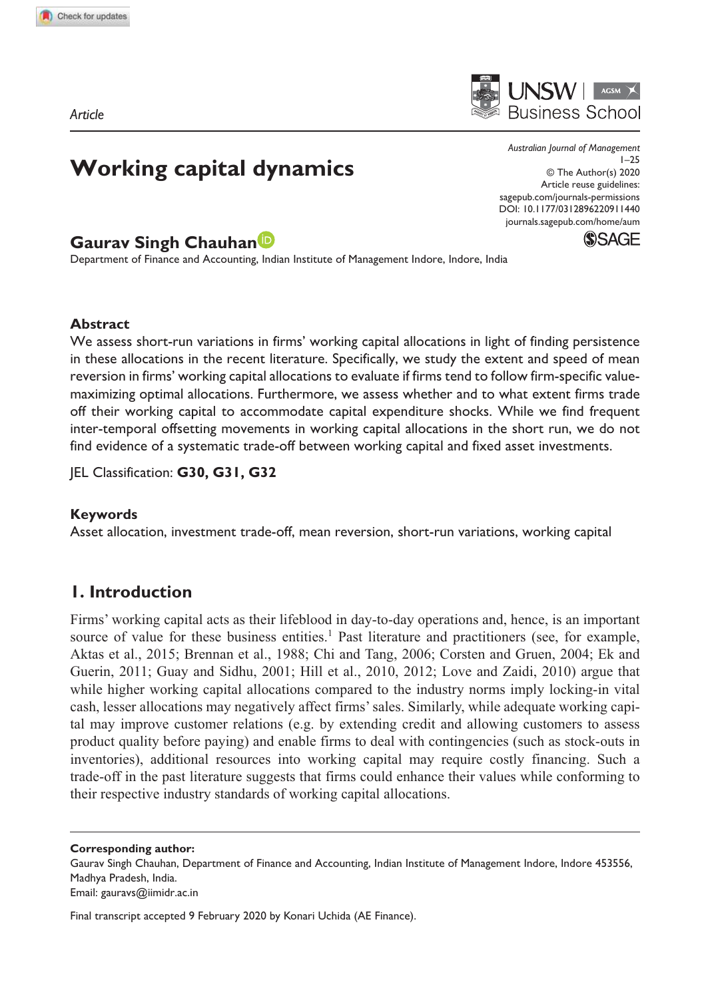**911440** AUM0010.1177/0312896220911440Australian Journal of Management**Chauhan**

**UNSW** | **AGSM** X<br>Business School

# **Working capital dynamics**

DOI: 10.1177/0312896220911440 *Australian Journal of Management*  $1 - 25$ © The Author(s) 2020 Article reuse guidelines: sagepub.com/journals-permissions journals.sagepub.com/home/aum



**Gaurav Singh Chauhan** Department of Finance and Accounting, Indian Institute of Management Indore, Indore, India

#### **Abstract**

We assess short-run variations in firms' working capital allocations in light of finding persistence in these allocations in the recent literature. Specifically, we study the extent and speed of mean reversion in firms' working capital allocations to evaluate if firms tend to follow firm-specific valuemaximizing optimal allocations. Furthermore, we assess whether and to what extent firms trade off their working capital to accommodate capital expenditure shocks. While we find frequent inter-temporal offsetting movements in working capital allocations in the short run, we do not find evidence of a systematic trade-off between working capital and fixed asset investments.

JEL Classification: **G30, G31, G32**

#### **Keywords**

Asset allocation, investment trade-off, mean reversion, short-run variations, working capital

## **1. Introduction**

Firms' working capital acts as their lifeblood in day-to-day operations and, hence, is an important source of value for these business entities.<sup>1</sup> Past literature and practitioners (see, for example, Aktas et al., 2015; Brennan et al., 1988; Chi and Tang, 2006; Corsten and Gruen, 2004; Ek and Guerin, 2011; Guay and Sidhu, 2001; Hill et al., 2010, 2012; Love and Zaidi, 2010) argue that while higher working capital allocations compared to the industry norms imply locking-in vital cash, lesser allocations may negatively affect firms' sales. Similarly, while adequate working capital may improve customer relations (e.g. by extending credit and allowing customers to assess product quality before paying) and enable firms to deal with contingencies (such as stock-outs in inventories), additional resources into working capital may require costly financing. Such a trade-off in the past literature suggests that firms could enhance their values while conforming to their respective industry standards of working capital allocations.

**Corresponding author:** Gaurav Singh Chauhan, Department of Finance and Accounting, Indian Institute of Management Indore, Indore 453556, Madhya Pradesh, India. Email: gauravs@iimidr.ac.in

Final transcript accepted 9 February 2020 by Konari Uchida (AE Finance).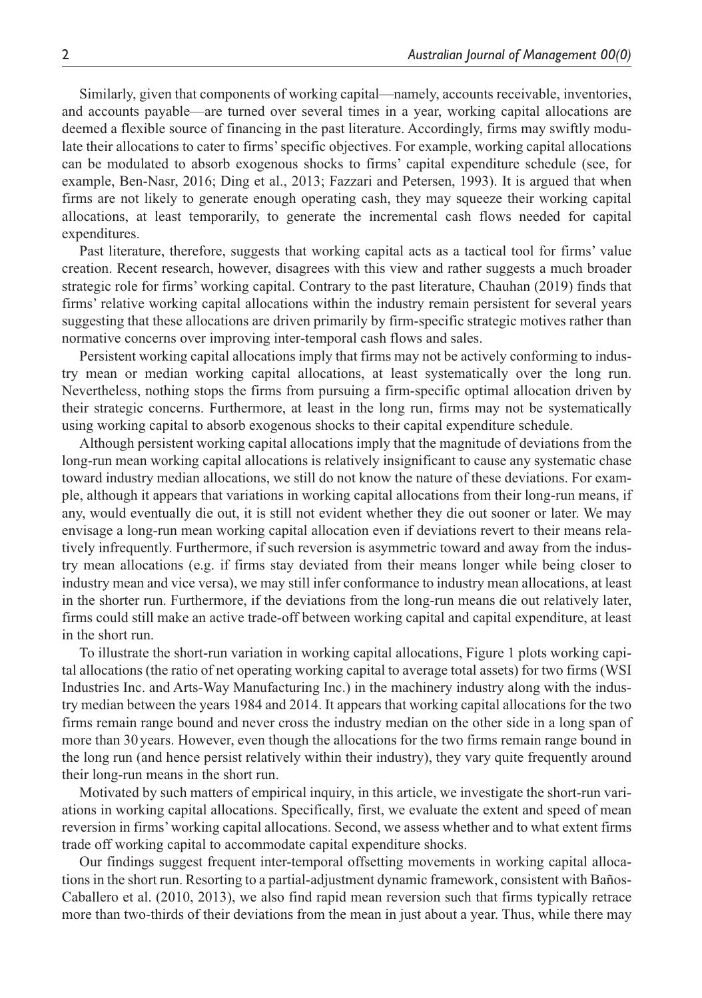Similarly, given that components of working capital—namely, accounts receivable, inventories, and accounts payable—are turned over several times in a year, working capital allocations are deemed a flexible source of financing in the past literature. Accordingly, firms may swiftly modulate their allocations to cater to firms' specific objectives. For example, working capital allocations can be modulated to absorb exogenous shocks to firms' capital expenditure schedule (see, for example, Ben-Nasr, 2016; Ding et al., 2013; Fazzari and Petersen, 1993). It is argued that when firms are not likely to generate enough operating cash, they may squeeze their working capital allocations, at least temporarily, to generate the incremental cash flows needed for capital expenditures.

Past literature, therefore, suggests that working capital acts as a tactical tool for firms' value creation. Recent research, however, disagrees with this view and rather suggests a much broader strategic role for firms' working capital. Contrary to the past literature, Chauhan (2019) finds that firms' relative working capital allocations within the industry remain persistent for several years suggesting that these allocations are driven primarily by firm-specific strategic motives rather than normative concerns over improving inter-temporal cash flows and sales.

Persistent working capital allocations imply that firms may not be actively conforming to industry mean or median working capital allocations, at least systematically over the long run. Nevertheless, nothing stops the firms from pursuing a firm-specific optimal allocation driven by their strategic concerns. Furthermore, at least in the long run, firms may not be systematically using working capital to absorb exogenous shocks to their capital expenditure schedule.

Although persistent working capital allocations imply that the magnitude of deviations from the long-run mean working capital allocations is relatively insignificant to cause any systematic chase toward industry median allocations, we still do not know the nature of these deviations. For example, although it appears that variations in working capital allocations from their long-run means, if any, would eventually die out, it is still not evident whether they die out sooner or later. We may envisage a long-run mean working capital allocation even if deviations revert to their means relatively infrequently. Furthermore, if such reversion is asymmetric toward and away from the industry mean allocations (e.g. if firms stay deviated from their means longer while being closer to industry mean and vice versa), we may still infer conformance to industry mean allocations, at least in the shorter run. Furthermore, if the deviations from the long-run means die out relatively later, firms could still make an active trade-off between working capital and capital expenditure, at least in the short run.

To illustrate the short-run variation in working capital allocations, Figure 1 plots working capital allocations (the ratio of net operating working capital to average total assets) for two firms (WSI Industries Inc. and Arts-Way Manufacturing Inc.) in the machinery industry along with the industry median between the years 1984 and 2014. It appears that working capital allocations for the two firms remain range bound and never cross the industry median on the other side in a long span of more than 30 years. However, even though the allocations for the two firms remain range bound in the long run (and hence persist relatively within their industry), they vary quite frequently around their long-run means in the short run.

Motivated by such matters of empirical inquiry, in this article, we investigate the short-run variations in working capital allocations. Specifically, first, we evaluate the extent and speed of mean reversion in firms' working capital allocations. Second, we assess whether and to what extent firms trade off working capital to accommodate capital expenditure shocks.

Our findings suggest frequent inter-temporal offsetting movements in working capital allocations in the short run. Resorting to a partial-adjustment dynamic framework, consistent with Baños-Caballero et al. (2010, 2013), we also find rapid mean reversion such that firms typically retrace more than two-thirds of their deviations from the mean in just about a year. Thus, while there may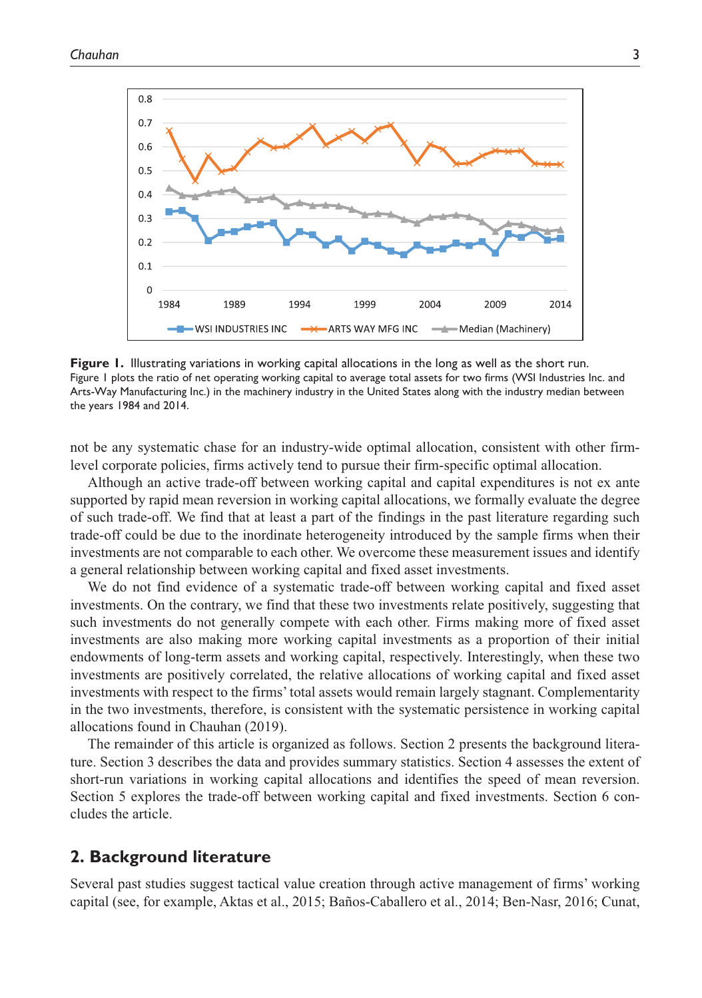

**Figure 1.** Illustrating variations in working capital allocations in the long as well as the short run. Figure 1 plots the ratio of net operating working capital to average total assets for two firms (WSI Industries Inc. and Arts-Way Manufacturing Inc.) in the machinery industry in the United States along with the industry median between the years 1984 and 2014.

not be any systematic chase for an industry-wide optimal allocation, consistent with other firmlevel corporate policies, firms actively tend to pursue their firm-specific optimal allocation.

Although an active trade-off between working capital and capital expenditures is not ex ante supported by rapid mean reversion in working capital allocations, we formally evaluate the degree of such trade-off. We find that at least a part of the findings in the past literature regarding such trade-off could be due to the inordinate heterogeneity introduced by the sample firms when their investments are not comparable to each other. We overcome these measurement issues and identify a general relationship between working capital and fixed asset investments.

We do not find evidence of a systematic trade-off between working capital and fixed asset investments. On the contrary, we find that these two investments relate positively, suggesting that such investments do not generally compete with each other. Firms making more of fixed asset investments are also making more working capital investments as a proportion of their initial endowments of long-term assets and working capital, respectively. Interestingly, when these two investments are positively correlated, the relative allocations of working capital and fixed asset investments with respect to the firms' total assets would remain largely stagnant. Complementarity in the two investments, therefore, is consistent with the systematic persistence in working capital allocations found in Chauhan (2019).

The remainder of this article is organized as follows. Section 2 presents the background literature. Section 3 describes the data and provides summary statistics. Section 4 assesses the extent of short-run variations in working capital allocations and identifies the speed of mean reversion. Section 5 explores the trade-off between working capital and fixed investments. Section 6 concludes the article.

## **2. Background literature**

Several past studies suggest tactical value creation through active management of firms' working capital (see, for example, Aktas et al., 2015; Baños-Caballero et al., 2014; Ben-Nasr, 2016; Cunat,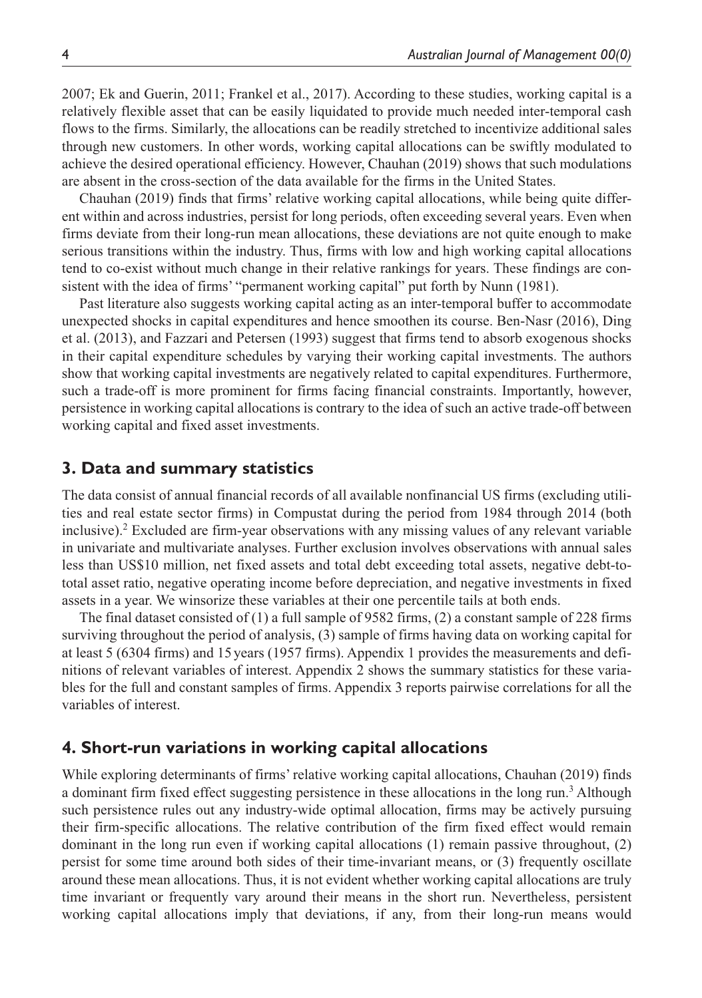2007; Ek and Guerin, 2011; Frankel et al., 2017). According to these studies, working capital is a relatively flexible asset that can be easily liquidated to provide much needed inter-temporal cash flows to the firms. Similarly, the allocations can be readily stretched to incentivize additional sales through new customers. In other words, working capital allocations can be swiftly modulated to achieve the desired operational efficiency. However, Chauhan (2019) shows that such modulations are absent in the cross-section of the data available for the firms in the United States.

Chauhan (2019) finds that firms' relative working capital allocations, while being quite different within and across industries, persist for long periods, often exceeding several years. Even when firms deviate from their long-run mean allocations, these deviations are not quite enough to make serious transitions within the industry. Thus, firms with low and high working capital allocations tend to co-exist without much change in their relative rankings for years. These findings are consistent with the idea of firms' "permanent working capital" put forth by Nunn (1981).

Past literature also suggests working capital acting as an inter-temporal buffer to accommodate unexpected shocks in capital expenditures and hence smoothen its course. Ben-Nasr (2016), Ding et al. (2013), and Fazzari and Petersen (1993) suggest that firms tend to absorb exogenous shocks in their capital expenditure schedules by varying their working capital investments. The authors show that working capital investments are negatively related to capital expenditures. Furthermore, such a trade-off is more prominent for firms facing financial constraints. Importantly, however, persistence in working capital allocations is contrary to the idea of such an active trade-off between working capital and fixed asset investments.

#### **3. Data and summary statistics**

The data consist of annual financial records of all available nonfinancial US firms (excluding utilities and real estate sector firms) in Compustat during the period from 1984 through 2014 (both inclusive).<sup>2</sup> Excluded are firm-year observations with any missing values of any relevant variable in univariate and multivariate analyses. Further exclusion involves observations with annual sales less than US\$10 million, net fixed assets and total debt exceeding total assets, negative debt-tototal asset ratio, negative operating income before depreciation, and negative investments in fixed assets in a year. We winsorize these variables at their one percentile tails at both ends.

The final dataset consisted of (1) a full sample of 9582 firms, (2) a constant sample of 228 firms surviving throughout the period of analysis, (3) sample of firms having data on working capital for at least 5 (6304 firms) and 15 years (1957 firms). Appendix 1 provides the measurements and definitions of relevant variables of interest. Appendix 2 shows the summary statistics for these variables for the full and constant samples of firms. Appendix 3 reports pairwise correlations for all the variables of interest.

## **4. Short-run variations in working capital allocations**

While exploring determinants of firms' relative working capital allocations, Chauhan (2019) finds a dominant firm fixed effect suggesting persistence in these allocations in the long run.<sup>3</sup> Although such persistence rules out any industry-wide optimal allocation, firms may be actively pursuing their firm-specific allocations. The relative contribution of the firm fixed effect would remain dominant in the long run even if working capital allocations (1) remain passive throughout, (2) persist for some time around both sides of their time-invariant means, or (3) frequently oscillate around these mean allocations. Thus, it is not evident whether working capital allocations are truly time invariant or frequently vary around their means in the short run. Nevertheless, persistent working capital allocations imply that deviations, if any, from their long-run means would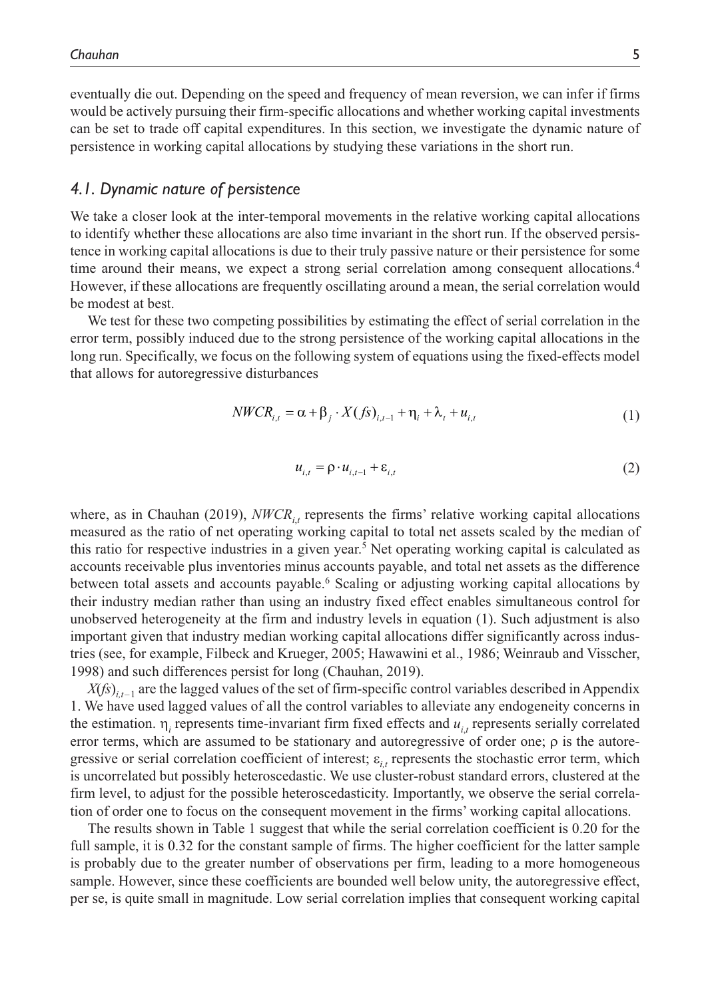eventually die out. Depending on the speed and frequency of mean reversion, we can infer if firms would be actively pursuing their firm-specific allocations and whether working capital investments can be set to trade off capital expenditures. In this section, we investigate the dynamic nature of persistence in working capital allocations by studying these variations in the short run.

#### *4.1. Dynamic nature of persistence*

We take a closer look at the inter-temporal movements in the relative working capital allocations to identify whether these allocations are also time invariant in the short run. If the observed persistence in working capital allocations is due to their truly passive nature or their persistence for some time around their means, we expect a strong serial correlation among consequent allocations.<sup>4</sup> However, if these allocations are frequently oscillating around a mean, the serial correlation would be modest at best.

We test for these two competing possibilities by estimating the effect of serial correlation in the error term, possibly induced due to the strong persistence of the working capital allocations in the long run. Specifically, we focus on the following system of equations using the fixed-effects model that allows for autoregressive disturbances

$$
NWCR_{i,t} = \alpha + \beta_j \cdot X(fs)_{i,t-1} + \eta_i + \lambda_t + u_{i,t}
$$
 (1)

$$
u_{i,t} = \rho \cdot u_{i,t-1} + \varepsilon_{i,t} \tag{2}
$$

where, as in Chauhan (2019), *NWCR*<sub>*i*,*t*</sub> represents the firms' relative working capital allocations measured as the ratio of net operating working capital to total net assets scaled by the median of this ratio for respective industries in a given year.<sup>5</sup> Net operating working capital is calculated as accounts receivable plus inventories minus accounts payable, and total net assets as the difference between total assets and accounts payable.<sup>6</sup> Scaling or adjusting working capital allocations by their industry median rather than using an industry fixed effect enables simultaneous control for unobserved heterogeneity at the firm and industry levels in equation (1). Such adjustment is also important given that industry median working capital allocations differ significantly across industries (see, for example, Filbeck and Krueger, 2005; Hawawini et al., 1986; Weinraub and Visscher, 1998) and such differences persist for long (Chauhan, 2019).

 $X(fs)$ <sub>i,t-1</sub> are the lagged values of the set of firm-specific control variables described in Appendix 1. We have used lagged values of all the control variables to alleviate any endogeneity concerns in the estimation.  $\eta_i$  represents time-invariant firm fixed effects and  $u_{i,t}$  represents serially correlated error terms, which are assumed to be stationary and autoregressive of order one;  $\rho$  is the autoregressive or serial correlation coefficient of interest;  $\varepsilon_i$ , represents the stochastic error term, which is uncorrelated but possibly heteroscedastic. We use cluster-robust standard errors, clustered at the firm level, to adjust for the possible heteroscedasticity. Importantly, we observe the serial correlation of order one to focus on the consequent movement in the firms' working capital allocations.

The results shown in Table 1 suggest that while the serial correlation coefficient is 0.20 for the full sample, it is 0.32 for the constant sample of firms. The higher coefficient for the latter sample is probably due to the greater number of observations per firm, leading to a more homogeneous sample. However, since these coefficients are bounded well below unity, the autoregressive effect, per se, is quite small in magnitude. Low serial correlation implies that consequent working capital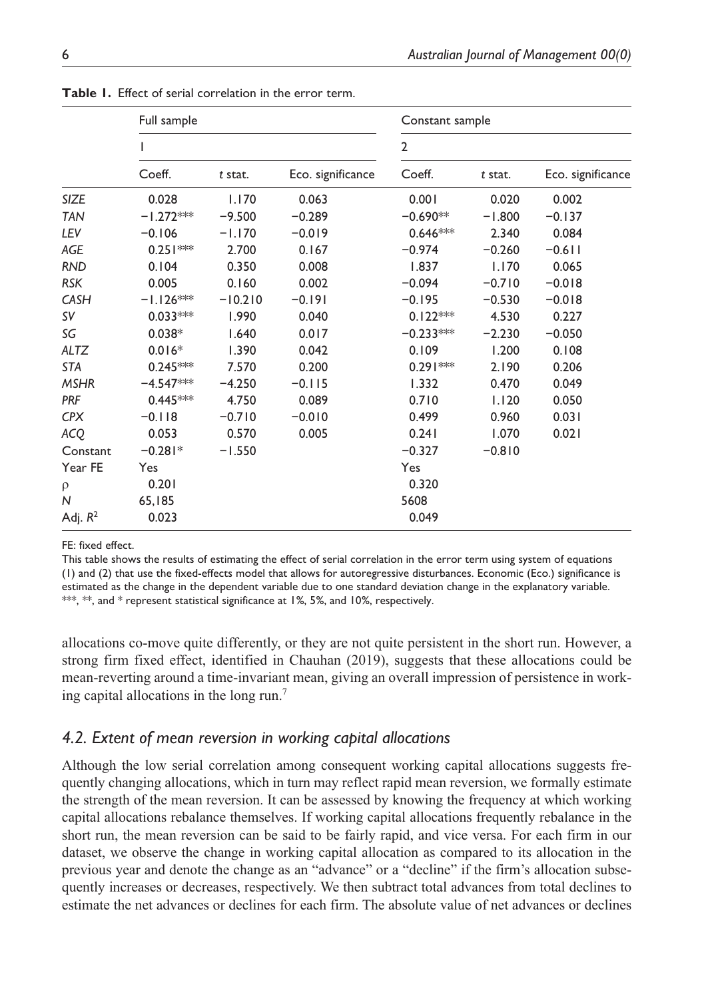|             | Full sample |           |                   | Constant sample |          |                   |
|-------------|-------------|-----------|-------------------|-----------------|----------|-------------------|
|             |             |           |                   | $\overline{2}$  |          |                   |
|             | Coeff.      | t stat.   | Eco. significance | Coeff.          | t stat.  | Eco. significance |
| SIZE        | 0.028       | 1.170     | 0.063             | 0.001           | 0.020    | 0.002             |
| <b>TAN</b>  | $-1.272***$ | $-9.500$  | $-0.289$          | $-0.690**$      | $-1.800$ | $-0.137$          |
| LEV         | $-0.106$    | $-1.170$  | $-0.019$          | $0.646***$      | 2.340    | 0.084             |
| AGE         | $0.251***$  | 2.700     | 0.167             | $-0.974$        | $-0.260$ | $-0.6$            |
| <b>RND</b>  | 0.104       | 0.350     | 0.008             | 1.837           | 1.170    | 0.065             |
| <b>RSK</b>  | 0.005       | 0.160     | 0.002             | $-0.094$        | $-0.710$ | $-0.018$          |
| <b>CASH</b> | $-1.126***$ | $-10.210$ | $-0.191$          | $-0.195$        | $-0.530$ | $-0.018$          |
| SV          | $0.033***$  | 1.990     | 0.040             | $0.122***$      | 4.530    | 0.227             |
| SG          | $0.038*$    | 1.640     | 0.017             | $-0.233***$     | $-2.230$ | $-0.050$          |
| <b>ALTZ</b> | $0.016*$    | 1.390     | 0.042             | 0.109           | 1.200    | 0.108             |
| <b>STA</b>  | $0.245***$  | 7.570     | 0.200             | $0.291***$      | 2.190    | 0.206             |
| <b>MSHR</b> | $-4.547***$ | $-4.250$  | $-0.115$          | 1.332           | 0.470    | 0.049             |
| PRF         | $0.445***$  | 4.750     | 0.089             | 0.710           | 1.120    | 0.050             |
| <b>CPX</b>  | $-0.118$    | $-0.710$  | $-0.010$          | 0.499           | 0.960    | 0.031             |
| ACQ         | 0.053       | 0.570     | 0.005             | 0.241           | 1.070    | 0.021             |
| Constant    | $-0.281*$   | $-1.550$  |                   | $-0.327$        | $-0.810$ |                   |
| Year FE     | Yes         |           |                   | Yes             |          |                   |
| $\rho$      | 0.201       |           |                   | 0.320           |          |                   |
| N           | 65,185      |           |                   | 5608            |          |                   |
| Adj. $R^2$  | 0.023       |           |                   | 0.049           |          |                   |

**Table 1.** Effect of serial correlation in the error term.

FE: fixed effect.

This table shows the results of estimating the effect of serial correlation in the error term using system of equations (1) and (2) that use the fixed-effects model that allows for autoregressive disturbances. Economic (Eco.) significance is estimated as the change in the dependent variable due to one standard deviation change in the explanatory variable. \*\*\*, \*\*, and \* represent statistical significance at 1%, 5%, and 10%, respectively.

allocations co-move quite differently, or they are not quite persistent in the short run. However, a strong firm fixed effect, identified in Chauhan (2019), suggests that these allocations could be mean-reverting around a time-invariant mean, giving an overall impression of persistence in working capital allocations in the long run.<sup>7</sup>

## *4.2. Extent of mean reversion in working capital allocations*

Although the low serial correlation among consequent working capital allocations suggests frequently changing allocations, which in turn may reflect rapid mean reversion, we formally estimate the strength of the mean reversion. It can be assessed by knowing the frequency at which working capital allocations rebalance themselves. If working capital allocations frequently rebalance in the short run, the mean reversion can be said to be fairly rapid, and vice versa. For each firm in our dataset, we observe the change in working capital allocation as compared to its allocation in the previous year and denote the change as an "advance" or a "decline" if the firm's allocation subsequently increases or decreases, respectively. We then subtract total advances from total declines to estimate the net advances or declines for each firm. The absolute value of net advances or declines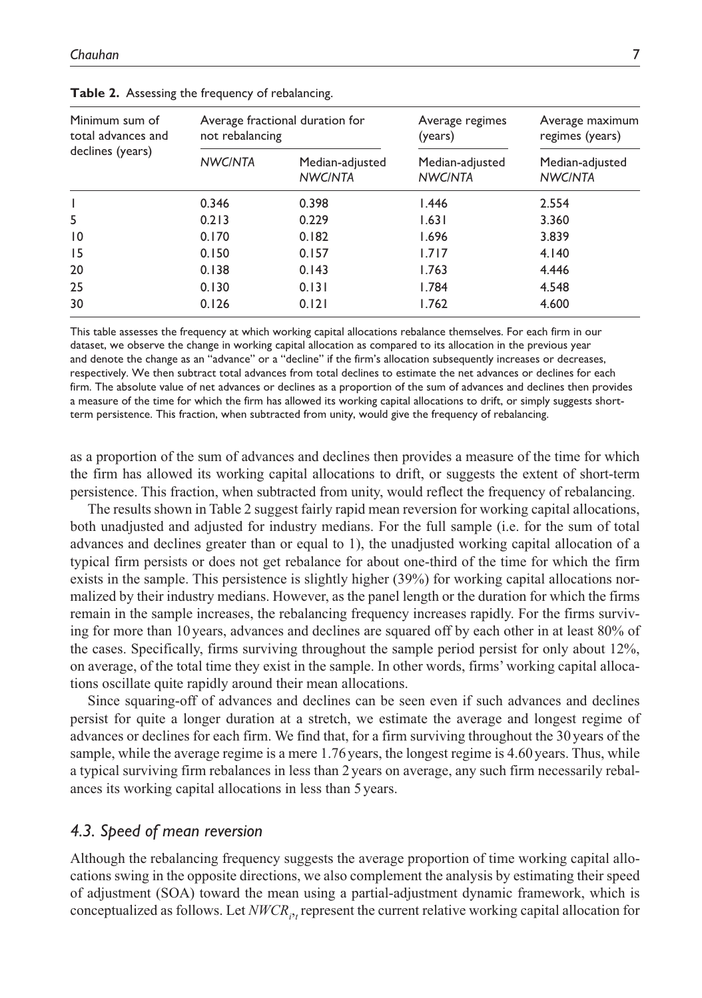| Minimum sum of<br>total advances and | not rebalancing | Average fractional duration for | Average regimes<br>(years) | Average maximum<br>regimes (years) |
|--------------------------------------|-----------------|---------------------------------|----------------------------|------------------------------------|
| declines (years)                     | <b>NWC/NTA</b>  | Median-adjusted<br>NWC/NTA      | Median-adjusted<br>NWC/NTA | Median-adjusted<br><b>NWC/NTA</b>  |
|                                      | 0.346           | 0.398                           | 1.446                      | 2.554                              |
| 5                                    | 0.213           | 0.229                           | 1.631                      | 3.360                              |
| $\overline{10}$                      | 0.170           | 0.182                           | 1.696                      | 3.839                              |
| 15                                   | 0.150           | 0.157                           | 1.717                      | 4.140                              |
| 20                                   | 0.138           | 0.143                           | 1.763                      | 4.446                              |
| 25                                   | 0.130           | 0.131                           | 1.784                      | 4.548                              |
| 30                                   | 0.126           | 0.121                           | 1.762                      | 4.600                              |

| Table 2. Assessing the frequency of rebalancing. |  |  |  |  |  |
|--------------------------------------------------|--|--|--|--|--|
|--------------------------------------------------|--|--|--|--|--|

This table assesses the frequency at which working capital allocations rebalance themselves. For each firm in our dataset, we observe the change in working capital allocation as compared to its allocation in the previous year and denote the change as an "advance" or a "decline" if the firm's allocation subsequently increases or decreases, respectively. We then subtract total advances from total declines to estimate the net advances or declines for each firm. The absolute value of net advances or declines as a proportion of the sum of advances and declines then provides a measure of the time for which the firm has allowed its working capital allocations to drift, or simply suggests shortterm persistence. This fraction, when subtracted from unity, would give the frequency of rebalancing.

as a proportion of the sum of advances and declines then provides a measure of the time for which the firm has allowed its working capital allocations to drift, or suggests the extent of short-term persistence. This fraction, when subtracted from unity, would reflect the frequency of rebalancing.

The results shown in Table 2 suggest fairly rapid mean reversion for working capital allocations, both unadjusted and adjusted for industry medians. For the full sample (i.e. for the sum of total advances and declines greater than or equal to 1), the unadjusted working capital allocation of a typical firm persists or does not get rebalance for about one-third of the time for which the firm exists in the sample. This persistence is slightly higher (39%) for working capital allocations normalized by their industry medians. However, as the panel length or the duration for which the firms remain in the sample increases, the rebalancing frequency increases rapidly. For the firms surviving for more than 10 years, advances and declines are squared off by each other in at least 80% of the cases. Specifically, firms surviving throughout the sample period persist for only about 12%, on average, of the total time they exist in the sample. In other words, firms' working capital allocations oscillate quite rapidly around their mean allocations.

Since squaring-off of advances and declines can be seen even if such advances and declines persist for quite a longer duration at a stretch, we estimate the average and longest regime of advances or declines for each firm. We find that, for a firm surviving throughout the 30 years of the sample, while the average regime is a mere 1.76 years, the longest regime is 4.60 years. Thus, while a typical surviving firm rebalances in less than 2 years on average, any such firm necessarily rebalances its working capital allocations in less than 5 years.

#### *4.3. Speed of mean reversion*

Although the rebalancing frequency suggests the average proportion of time working capital allocations swing in the opposite directions, we also complement the analysis by estimating their speed of adjustment (SOA) toward the mean using a partial-adjustment dynamic framework, which is conceptualized as follows. Let  $NWCR_{i}$  represent the current relative working capital allocation for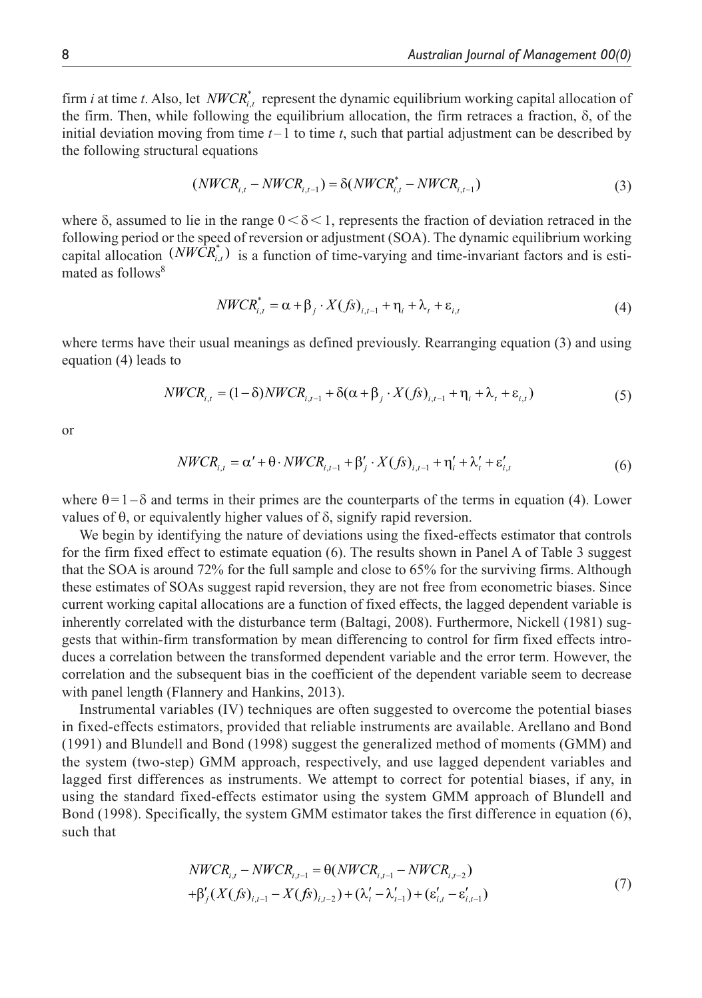firm *i* at time *t*. Also, let  $NWCR_{i,t}^*$  represent the dynamic equilibrium working capital allocation of the firm. Then, while following the equilibrium allocation, the firm retraces a fraction,  $\delta$ , of the initial deviation moving from time  $t-1$  to time t, such that partial adjustment can be described by the following structural equations

$$
(NWCR_{i,t} - NWCR_{i,t-1}) = \delta(NWCR_{i,t}^* - NWCR_{i,t-1})
$$
\n(3)

where  $\delta$ , assumed to lie in the range  $0 < \delta < 1$ , represents the fraction of deviation retraced in the following period or the speed of reversion or adjustment (SOA). The dynamic equilibrium working capital allocation  $(NW\hat{C}R_{i,t}^*)$  is a function of time-varying and time-invariant factors and is estimated as follows<sup>8</sup>

$$
NWCR_{i,t}^* = \alpha + \beta_j \cdot X(fs)_{i,t-1} + \eta_i + \lambda_t + \varepsilon_{i,t}
$$
\n<sup>(4)</sup>

where terms have their usual meanings as defined previously. Rearranging equation (3) and using equation (4) leads to

$$
NWCR_{i,t} = (1 - \delta)NWCR_{i,t-1} + \delta(\alpha + \beta_j \cdot X(fs)_{i,t-1} + \eta_i + \lambda_t + \varepsilon_{i,t})
$$
\n<sup>(5)</sup>

or

$$
NWCR_{i,t} = \alpha' + \theta \cdot NWCR_{i,t-1} + \beta'_j \cdot X(fs)_{i,t-1} + \eta'_i + \lambda'_t + \varepsilon'_{i,t}
$$
\n
$$
\tag{6}
$$

where  $\theta = 1 - \delta$  and terms in their primes are the counterparts of the terms in equation (4). Lower values of θ, or equivalently higher values of δ, signify rapid reversion.

We begin by identifying the nature of deviations using the fixed-effects estimator that controls for the firm fixed effect to estimate equation (6). The results shown in Panel A of Table 3 suggest that the SOA is around 72% for the full sample and close to 65% for the surviving firms. Although these estimates of SOAs suggest rapid reversion, they are not free from econometric biases. Since current working capital allocations are a function of fixed effects, the lagged dependent variable is inherently correlated with the disturbance term (Baltagi, 2008). Furthermore, Nickell (1981) suggests that within-firm transformation by mean differencing to control for firm fixed effects introduces a correlation between the transformed dependent variable and the error term. However, the correlation and the subsequent bias in the coefficient of the dependent variable seem to decrease with panel length (Flannery and Hankins, 2013).

Instrumental variables (IV) techniques are often suggested to overcome the potential biases in fixed-effects estimators, provided that reliable instruments are available. Arellano and Bond (1991) and Blundell and Bond (1998) suggest the generalized method of moments (GMM) and the system (two-step) GMM approach, respectively, and use lagged dependent variables and lagged first differences as instruments. We attempt to correct for potential biases, if any, in using the standard fixed-effects estimator using the system GMM approach of Blundell and Bond (1998). Specifically, the system GMM estimator takes the first difference in equation (6), such that

$$
NWCR_{i,t} - NWCR_{i,t-1} = \Theta(NWCR_{i,t-1} - NWCR_{i,t-2})
$$
  
+ $\beta'_{j}(X(fs)_{i,t-1} - X(fs)_{i,t-2}) + (\lambda'_{t} - \lambda'_{t-1}) + (\varepsilon'_{i,t} - \varepsilon'_{i,t-1})$  (7)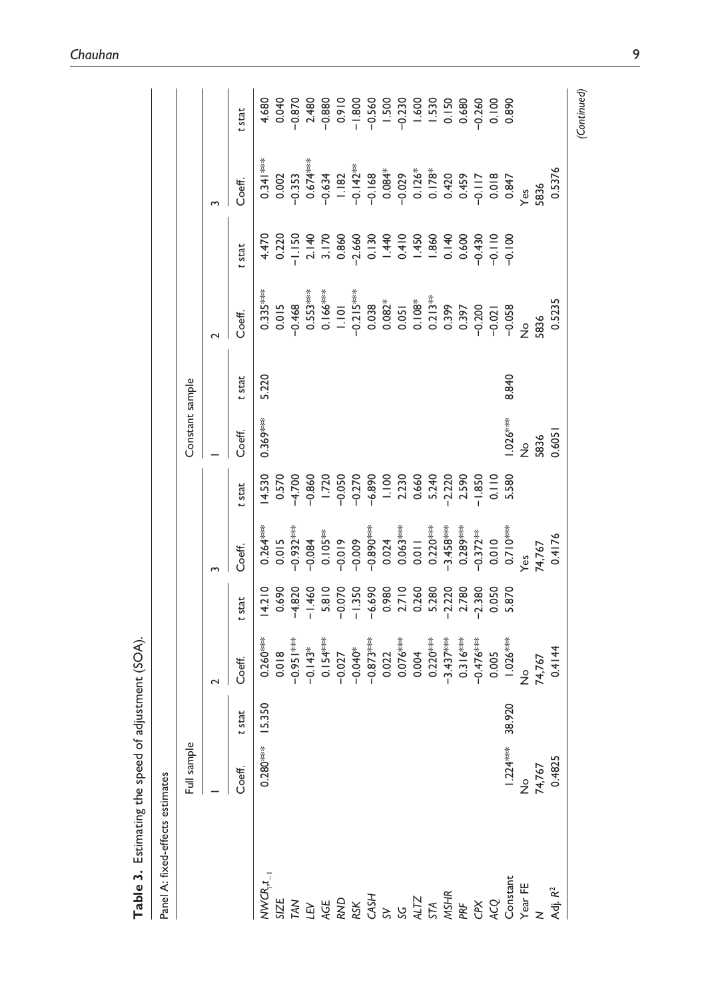| Panel A: fixed-effects estimates |               |        |                                                                                                                                                                                                                                                                                                                                      |        |                                                                                                                                                                                                                                                                                                                             |                                                                                                                                                                                                                                                             |                              |        |        |        |        |             |
|----------------------------------|---------------|--------|--------------------------------------------------------------------------------------------------------------------------------------------------------------------------------------------------------------------------------------------------------------------------------------------------------------------------------------|--------|-----------------------------------------------------------------------------------------------------------------------------------------------------------------------------------------------------------------------------------------------------------------------------------------------------------------------------|-------------------------------------------------------------------------------------------------------------------------------------------------------------------------------------------------------------------------------------------------------------|------------------------------|--------|--------|--------|--------|-------------|
|                                  | Full sample   |        |                                                                                                                                                                                                                                                                                                                                      |        |                                                                                                                                                                                                                                                                                                                             |                                                                                                                                                                                                                                                             | Constant sample              |        |        |        |        |             |
|                                  |               |        |                                                                                                                                                                                                                                                                                                                                      |        |                                                                                                                                                                                                                                                                                                                             |                                                                                                                                                                                                                                                             |                              |        |        |        |        |             |
|                                  | Coeff.        | t stat | Coeff.                                                                                                                                                                                                                                                                                                                               | t stat | Coeff.                                                                                                                                                                                                                                                                                                                      | t stat                                                                                                                                                                                                                                                      | Coeff.                       | t stat | Coeff. | t stat | Coeff. | t stat      |
| $NWCR_{r}t_{-1}$                 | $0.280***$    | 5.350  |                                                                                                                                                                                                                                                                                                                                      |        |                                                                                                                                                                                                                                                                                                                             |                                                                                                                                                                                                                                                             | $0.369***$                   | 5.220  |        |        |        |             |
| SIZE                             |               |        | $\begin{array}{r} 0.260^{***} \\ 0.018 \\ 0.018 \\ -0.951^{***} \\ -0.143^{**} \\ -0.040^{**} \\ -0.040^{**} \\ -0.037 \\ -0.040^{**} \\ -0.004 \\ -0.004 \\ -0.005 \\ -0.005 \\ -0.005 \\ -0.005 \\ -0.005 \\ -0.005 \\ -0.005 \\ -0.005 \\ -0.005 \\ -0.005 \\ -0.005 \\ -0.005 \\ -0.005 \\ -0.005 \\ -0.005 \\ -0.005 \\ -0.005$ |        | $\left.\begin{array}{l} 0.264\text{\scriptsize{***}}\\ 0.015\\ 0.015\\ -0.932\text{\scriptsize{***}}\\ 0.019\\ -0.084\\ 0.09\\ 0.09\\ -0.09\\ 0.09\\ -0.009\\ -0.009\\ -0.000\\ -0.000\\ -0.000\\ -0.000\\ -0.000\\ -0.000\\ -0.000\\ -0.000\\ -0.000\\ -0.000\\ -0.000\\ -0.000\\ -0.000\\ -0.000\\ -0.000\\ -0.000\\ -0.$ | $\begin{array}{l} 30,00000\\ 10,000000\\ 21,000000\\ 33,000000\\ 45,000000\\ 56,00000\\ 67,00000\\ 68,00000\\ 69,00000\\ 69,00000\\ 69,00000\\ 69,00000\\ 69,00000\\ 69,00000\\ 69,00000\\ 69,00000\\ 69,00000\\ 69,00000\\ 69,00000\\ 69,00000\\ 69,00000$ |                              |        |        |        |        |             |
| TAN                              |               |        |                                                                                                                                                                                                                                                                                                                                      |        |                                                                                                                                                                                                                                                                                                                             |                                                                                                                                                                                                                                                             |                              |        |        |        |        |             |
|                                  |               |        |                                                                                                                                                                                                                                                                                                                                      |        |                                                                                                                                                                                                                                                                                                                             |                                                                                                                                                                                                                                                             |                              |        |        |        |        |             |
|                                  |               |        |                                                                                                                                                                                                                                                                                                                                      |        |                                                                                                                                                                                                                                                                                                                             |                                                                                                                                                                                                                                                             |                              |        |        |        |        |             |
|                                  |               |        |                                                                                                                                                                                                                                                                                                                                      |        |                                                                                                                                                                                                                                                                                                                             |                                                                                                                                                                                                                                                             |                              |        |        |        |        |             |
|                                  |               |        |                                                                                                                                                                                                                                                                                                                                      |        |                                                                                                                                                                                                                                                                                                                             |                                                                                                                                                                                                                                                             |                              |        |        |        |        |             |
|                                  |               |        |                                                                                                                                                                                                                                                                                                                                      |        |                                                                                                                                                                                                                                                                                                                             |                                                                                                                                                                                                                                                             |                              |        |        |        |        |             |
|                                  |               |        |                                                                                                                                                                                                                                                                                                                                      |        |                                                                                                                                                                                                                                                                                                                             |                                                                                                                                                                                                                                                             |                              |        |        |        |        |             |
|                                  |               |        |                                                                                                                                                                                                                                                                                                                                      |        |                                                                                                                                                                                                                                                                                                                             |                                                                                                                                                                                                                                                             |                              |        |        |        |        |             |
|                                  |               |        |                                                                                                                                                                                                                                                                                                                                      |        |                                                                                                                                                                                                                                                                                                                             |                                                                                                                                                                                                                                                             |                              |        |        |        |        |             |
|                                  |               |        |                                                                                                                                                                                                                                                                                                                                      |        |                                                                                                                                                                                                                                                                                                                             |                                                                                                                                                                                                                                                             |                              |        |        |        |        |             |
|                                  |               |        |                                                                                                                                                                                                                                                                                                                                      |        |                                                                                                                                                                                                                                                                                                                             |                                                                                                                                                                                                                                                             |                              |        |        |        |        |             |
|                                  |               |        |                                                                                                                                                                                                                                                                                                                                      |        |                                                                                                                                                                                                                                                                                                                             |                                                                                                                                                                                                                                                             |                              |        |        |        |        |             |
|                                  |               |        |                                                                                                                                                                                                                                                                                                                                      |        |                                                                                                                                                                                                                                                                                                                             |                                                                                                                                                                                                                                                             |                              |        |        |        |        |             |
|                                  |               |        |                                                                                                                                                                                                                                                                                                                                      |        |                                                                                                                                                                                                                                                                                                                             |                                                                                                                                                                                                                                                             |                              |        |        |        |        |             |
|                                  | $1.224***$    | 38.920 |                                                                                                                                                                                                                                                                                                                                      |        |                                                                                                                                                                                                                                                                                                                             |                                                                                                                                                                                                                                                             |                              | 8.840  |        |        |        |             |
| Year <sub>FE</sub>               | $\frac{1}{2}$ |        |                                                                                                                                                                                                                                                                                                                                      |        |                                                                                                                                                                                                                                                                                                                             |                                                                                                                                                                                                                                                             |                              |        |        |        |        |             |
|                                  | 74,767        |        |                                                                                                                                                                                                                                                                                                                                      |        |                                                                                                                                                                                                                                                                                                                             |                                                                                                                                                                                                                                                             |                              |        |        |        |        |             |
| Adj. R <sup>2</sup>              | 0.4825        |        |                                                                                                                                                                                                                                                                                                                                      |        |                                                                                                                                                                                                                                                                                                                             |                                                                                                                                                                                                                                                             | $1.026***\nNo\n5836\n0.6051$ |        | 0.5235 |        |        |             |
|                                  |               |        |                                                                                                                                                                                                                                                                                                                                      |        |                                                                                                                                                                                                                                                                                                                             |                                                                                                                                                                                                                                                             |                              |        |        |        |        | (Continued) |

Table 3. Estimating the speed of adjustment (SOA). **Table 3.** Estimating the speed of adjustment (SOA).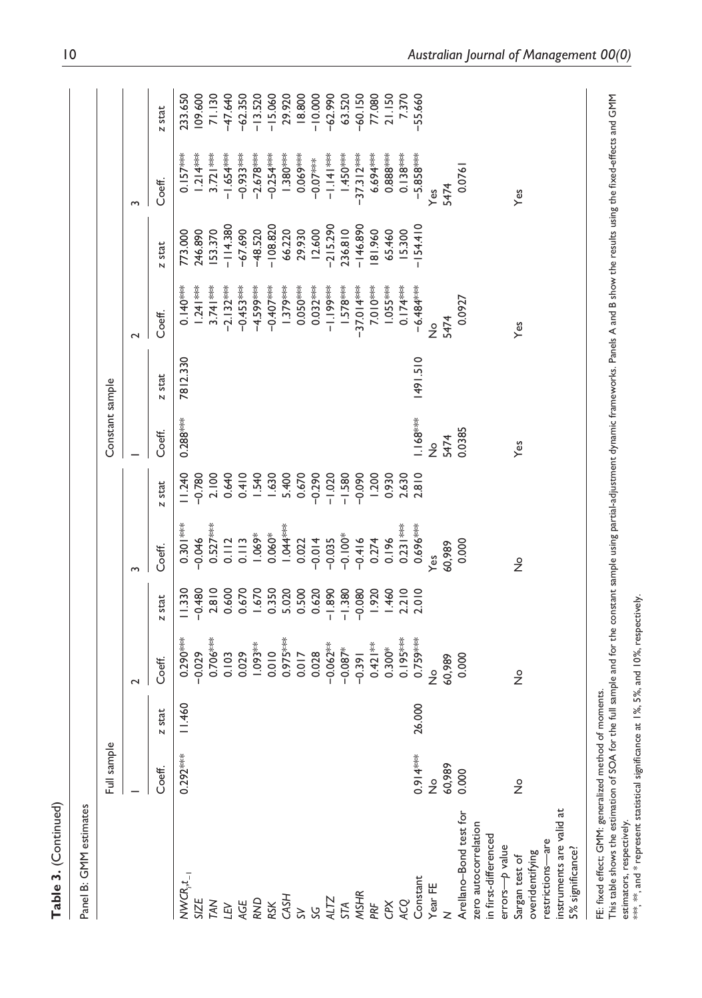| ļ |
|---|
|   |
|   |
|   |
|   |
|   |
|   |
|   |
|   |
|   |
|   |
|   |
|   |

| 1       |
|---------|
| ı       |
| ٠       |
| ١<br>۰, |

| Panel B: GMM estimates                       |               |        |                                                                                                                                                                                      |                                                                                           |               |        |                      |          |                         |                                                                                                         |              |                                                               |
|----------------------------------------------|---------------|--------|--------------------------------------------------------------------------------------------------------------------------------------------------------------------------------------|-------------------------------------------------------------------------------------------|---------------|--------|----------------------|----------|-------------------------|---------------------------------------------------------------------------------------------------------|--------------|---------------------------------------------------------------|
|                                              | Full sample   |        |                                                                                                                                                                                      |                                                                                           |               |        | Constant sample      |          |                         |                                                                                                         |              |                                                               |
|                                              |               |        | $\sim$                                                                                                                                                                               |                                                                                           |               |        |                      |          | $\sim$                  |                                                                                                         | $\sim$       |                                                               |
|                                              | Coeff.        | z stat | Coeff.                                                                                                                                                                               | z stat                                                                                    | Coeff.        | z stat | Coeff.               | z stat   | Coeff.                  | stat                                                                                                    | Coeff.       | z stat                                                        |
| $NWCR_{p}t_{-1}$                             | $0.292***$    | 11.460 | $0.290***$                                                                                                                                                                           | 11.330                                                                                    | $0.301***$    |        | $0.288***$           | 7812.330 | $0.140***$              | 773.000                                                                                                 | $0.157***$   | 233.650                                                       |
| SIZE                                         |               |        | $-0.029$                                                                                                                                                                             |                                                                                           | $-0.046$      |        |                      |          | $1.241***$              |                                                                                                         | $1.214***$   | 109.600                                                       |
| <b>TAN</b>                                   |               |        |                                                                                                                                                                                      |                                                                                           |               |        |                      |          | $3.741***$<br>-2.132*** |                                                                                                         | $3.721***$   | 71.130                                                        |
|                                              |               |        |                                                                                                                                                                                      |                                                                                           |               |        |                      |          |                         |                                                                                                         | $-1.654***$  |                                                               |
|                                              |               |        | $703$ $0.03$ $0.03$ $0.03$ $0.03$ $0.03$ $0.03$ $0.03$ $0.03$ $0.03$ $0.03$ $0.03$ $0.03$ $0.03$ $0.03$ $0.03$ $0.03$ $0.03$ $0.03$ $0.03$ $0.03$ $0.03$ $0.03$ $0.03$ $0.03$ $0.03$ | $-0.480$ $-0.600$ $-0.670$ $-0.570$ $-0.570$ $-0.500$ $-0.500$ $-0.500$ $-0.500$ $-0.500$ | $3.527$       |        |                      |          | $-0.453***$             | 246.890<br>IS3.370<br>-114.380<br>-67.690<br>-48.520<br>-108.820                                        | $-0.933***$  | $-47.640$<br>$-62.350$<br>$-13.520$<br>$-15.060$<br>$-15.060$ |
|                                              |               |        |                                                                                                                                                                                      |                                                                                           |               |        |                      |          | $-4.599***$             |                                                                                                         | $-2.678***$  |                                                               |
|                                              |               |        |                                                                                                                                                                                      |                                                                                           |               |        |                      |          | $-0.407***$             |                                                                                                         | $-0.254***$  |                                                               |
|                                              |               |        |                                                                                                                                                                                      |                                                                                           |               |        |                      |          | <b>1.379***</b>         |                                                                                                         | $1.380***$   |                                                               |
|                                              |               |        |                                                                                                                                                                                      |                                                                                           |               |        |                      |          | $0.050***$              | 66.220<br>29.930                                                                                        | $0.069***$   | 18.800                                                        |
|                                              |               |        |                                                                                                                                                                                      |                                                                                           |               |        |                      |          | $0.032***$              |                                                                                                         | $-0.07***$   |                                                               |
|                                              |               |        |                                                                                                                                                                                      |                                                                                           |               |        |                      |          | *** <del>*</del> **     |                                                                                                         | $-1.141***$  | $-10.000$<br>$-62.990$<br>63.520                              |
|                                              |               |        |                                                                                                                                                                                      | $-1.890$                                                                                  |               |        |                      |          | $1.578***$              |                                                                                                         | $1.450***$   |                                                               |
|                                              |               |        |                                                                                                                                                                                      | $-0.080$<br>$-1.920$                                                                      |               |        |                      |          | $-37.014***$            |                                                                                                         | $-37.312***$ |                                                               |
|                                              |               |        |                                                                                                                                                                                      |                                                                                           |               |        |                      |          | $7.010***$              |                                                                                                         | $6.694***$   |                                                               |
|                                              |               |        |                                                                                                                                                                                      | 1.460                                                                                     |               |        |                      |          | $1.055***$              |                                                                                                         | $0.888***$   |                                                               |
| <b>ACQ</b>                                   |               |        |                                                                                                                                                                                      | 2.210<br>2.010                                                                            |               |        |                      |          | $0.174***$              | $\begin{array}{r} 12.600 \\ -215.290 \\ 236.810 \\ -146.890 \\ 181.960 \\ 65.460 \\ \hline \end{array}$ | $0.138***$   | $-60.150$<br>77.080<br>21.150<br>21.150                       |
| Constant                                     | $0.914***$    | 26.000 |                                                                                                                                                                                      |                                                                                           |               |        | $1.168***$           | 1491.510 | $-6.484***$             | $-154.410$                                                                                              | $-5.858***$  | -55.660                                                       |
| (ear FE                                      | $\frac{1}{2}$ |        | $\frac{1}{2}$                                                                                                                                                                        |                                                                                           | es            |        | No<br>5474<br>0.0385 |          |                         |                                                                                                         | Yes          |                                                               |
|                                              | 60,989        |        | 60,989                                                                                                                                                                               |                                                                                           | 50,989        |        |                      |          | <b>De 74</b><br>5474    |                                                                                                         | 5474         |                                                               |
| Arellano-Bond test for                       | 0.000         |        | 0.000                                                                                                                                                                                |                                                                                           | 0.000         |        |                      |          | 0.0927                  |                                                                                                         | 0.076        |                                                               |
| zero autocorrelation<br>in first-differenced |               |        |                                                                                                                                                                                      |                                                                                           |               |        |                      |          |                         |                                                                                                         |              |                                                               |
| errors-p value                               |               |        |                                                                                                                                                                                      |                                                                                           |               |        |                      |          |                         |                                                                                                         |              |                                                               |
| overidentifying<br>Sargan test of            | $\frac{1}{2}$ |        | $\frac{1}{2}$                                                                                                                                                                        |                                                                                           | $\frac{1}{2}$ |        | Yes                  |          | Yes                     |                                                                                                         | Yes          |                                                               |
| estrictions-are                              |               |        |                                                                                                                                                                                      |                                                                                           |               |        |                      |          |                         |                                                                                                         |              |                                                               |
| instruments are valid at<br>5% significance? |               |        |                                                                                                                                                                                      |                                                                                           |               |        |                      |          |                         |                                                                                                         |              |                                                               |
|                                              |               |        |                                                                                                                                                                                      |                                                                                           |               |        |                      |          |                         |                                                                                                         |              |                                                               |
|                                              |               |        |                                                                                                                                                                                      |                                                                                           |               |        |                      |          |                         |                                                                                                         |              |                                                               |

FE: fixed effect; GMM: generalized method of moments.<br>This table shows the estimation of SOA for the full sample and for the constant sample using partial-adjustment dynamic frameworks. Panels A and B show the results usin This table shows the estimation of SOA for the full sample and for the constant sample using partial-adjustment dynamic frameworks. Panels A and B show the results using the fixed-effects and GMM estimators, respectively.

 $^{***}$   $^{**}$  and  $^{*}$  represent statistical significance at 1%, 5%, and 10%, respectively.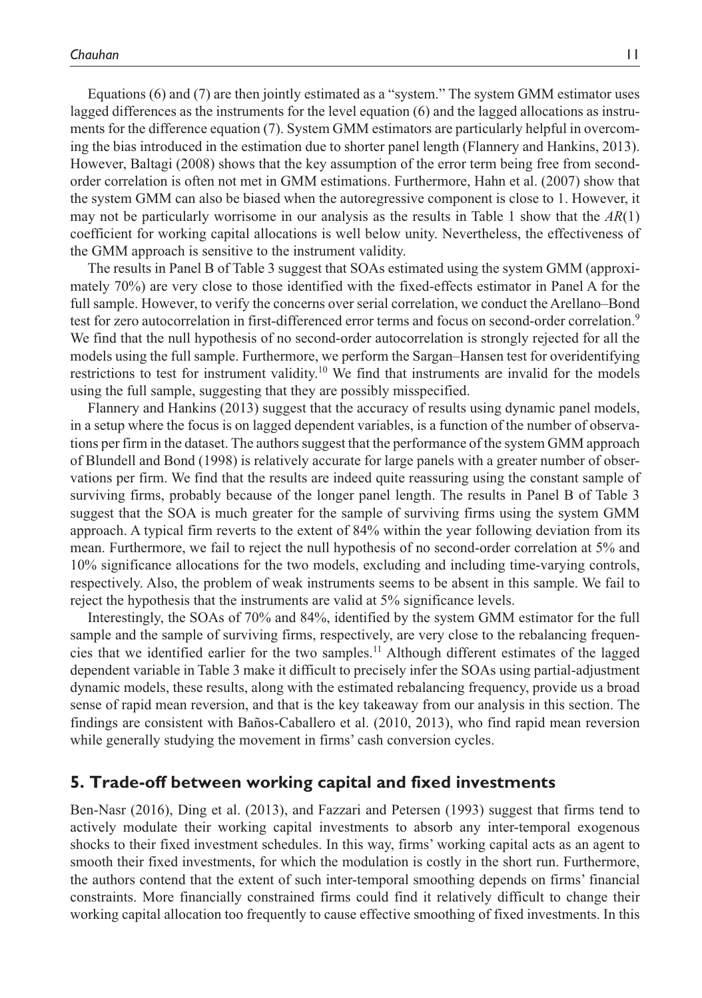Equations (6) and (7) are then jointly estimated as a "system." The system GMM estimator uses lagged differences as the instruments for the level equation (6) and the lagged allocations as instruments for the difference equation (7). System GMM estimators are particularly helpful in overcoming the bias introduced in the estimation due to shorter panel length (Flannery and Hankins, 2013). However, Baltagi (2008) shows that the key assumption of the error term being free from secondorder correlation is often not met in GMM estimations. Furthermore, Hahn et al. (2007) show that the system GMM can also be biased when the autoregressive component is close to 1. However, it may not be particularly worrisome in our analysis as the results in Table 1 show that the *AR*(1) coefficient for working capital allocations is well below unity. Nevertheless, the effectiveness of the GMM approach is sensitive to the instrument validity.

The results in Panel B of Table 3 suggest that SOAs estimated using the system GMM (approximately 70%) are very close to those identified with the fixed-effects estimator in Panel A for the full sample. However, to verify the concerns over serial correlation, we conduct the Arellano–Bond test for zero autocorrelation in first-differenced error terms and focus on second-order correlation.<sup>9</sup> We find that the null hypothesis of no second-order autocorrelation is strongly rejected for all the models using the full sample. Furthermore, we perform the Sargan–Hansen test for overidentifying restrictions to test for instrument validity.<sup>10</sup> We find that instruments are invalid for the models using the full sample, suggesting that they are possibly misspecified.

Flannery and Hankins (2013) suggest that the accuracy of results using dynamic panel models, in a setup where the focus is on lagged dependent variables, is a function of the number of observations per firm in the dataset. The authors suggest that the performance of the system GMM approach of Blundell and Bond (1998) is relatively accurate for large panels with a greater number of observations per firm. We find that the results are indeed quite reassuring using the constant sample of surviving firms, probably because of the longer panel length. The results in Panel B of Table 3 suggest that the SOA is much greater for the sample of surviving firms using the system GMM approach. A typical firm reverts to the extent of 84% within the year following deviation from its mean. Furthermore, we fail to reject the null hypothesis of no second-order correlation at 5% and 10% significance allocations for the two models, excluding and including time-varying controls, respectively. Also, the problem of weak instruments seems to be absent in this sample. We fail to reject the hypothesis that the instruments are valid at 5% significance levels.

Interestingly, the SOAs of 70% and 84%, identified by the system GMM estimator for the full sample and the sample of surviving firms, respectively, are very close to the rebalancing frequencies that we identified earlier for the two samples.<sup>11</sup> Although different estimates of the lagged dependent variable in Table 3 make it difficult to precisely infer the SOAs using partial-adjustment dynamic models, these results, along with the estimated rebalancing frequency, provide us a broad sense of rapid mean reversion, and that is the key takeaway from our analysis in this section. The findings are consistent with Baños-Caballero et al. (2010, 2013), who find rapid mean reversion while generally studying the movement in firms' cash conversion cycles.

## **5. Trade-off between working capital and fixed investments**

Ben-Nasr (2016), Ding et al. (2013), and Fazzari and Petersen (1993) suggest that firms tend to actively modulate their working capital investments to absorb any inter-temporal exogenous shocks to their fixed investment schedules. In this way, firms' working capital acts as an agent to smooth their fixed investments, for which the modulation is costly in the short run. Furthermore, the authors contend that the extent of such inter-temporal smoothing depends on firms' financial constraints. More financially constrained firms could find it relatively difficult to change their working capital allocation too frequently to cause effective smoothing of fixed investments. In this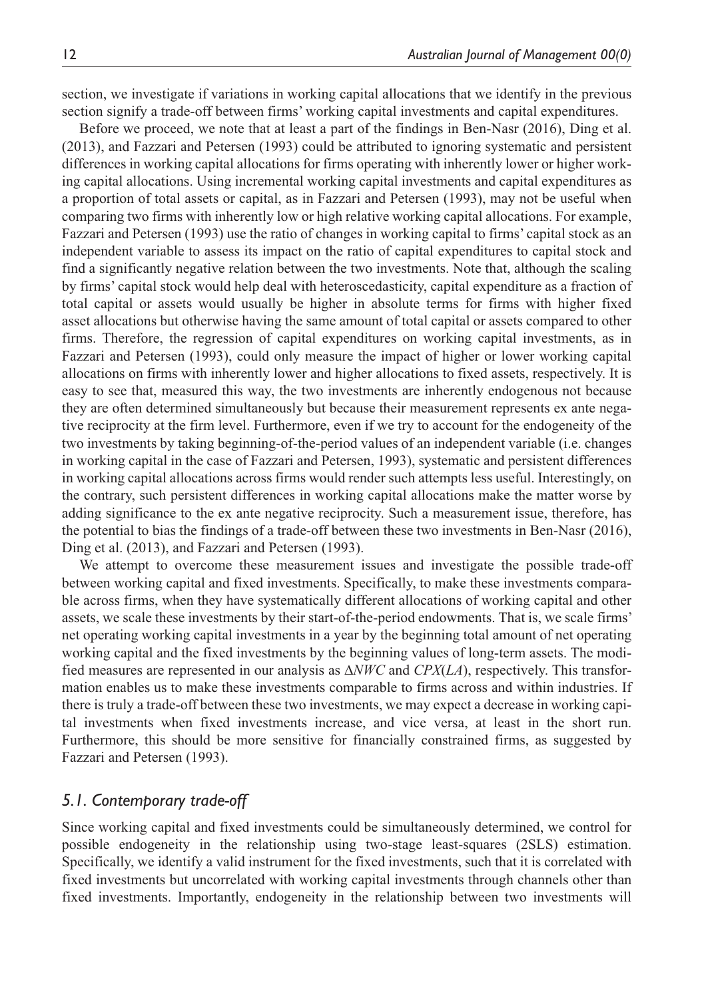section, we investigate if variations in working capital allocations that we identify in the previous section signify a trade-off between firms' working capital investments and capital expenditures.

Before we proceed, we note that at least a part of the findings in Ben-Nasr (2016), Ding et al. (2013), and Fazzari and Petersen (1993) could be attributed to ignoring systematic and persistent differences in working capital allocations for firms operating with inherently lower or higher working capital allocations. Using incremental working capital investments and capital expenditures as a proportion of total assets or capital, as in Fazzari and Petersen (1993), may not be useful when comparing two firms with inherently low or high relative working capital allocations. For example, Fazzari and Petersen (1993) use the ratio of changes in working capital to firms' capital stock as an independent variable to assess its impact on the ratio of capital expenditures to capital stock and find a significantly negative relation between the two investments. Note that, although the scaling by firms' capital stock would help deal with heteroscedasticity, capital expenditure as a fraction of total capital or assets would usually be higher in absolute terms for firms with higher fixed asset allocations but otherwise having the same amount of total capital or assets compared to other firms. Therefore, the regression of capital expenditures on working capital investments, as in Fazzari and Petersen (1993), could only measure the impact of higher or lower working capital allocations on firms with inherently lower and higher allocations to fixed assets, respectively. It is easy to see that, measured this way, the two investments are inherently endogenous not because they are often determined simultaneously but because their measurement represents ex ante negative reciprocity at the firm level. Furthermore, even if we try to account for the endogeneity of the two investments by taking beginning-of-the-period values of an independent variable (i.e. changes in working capital in the case of Fazzari and Petersen, 1993), systematic and persistent differences in working capital allocations across firms would render such attempts less useful. Interestingly, on the contrary, such persistent differences in working capital allocations make the matter worse by adding significance to the ex ante negative reciprocity. Such a measurement issue, therefore, has the potential to bias the findings of a trade-off between these two investments in Ben-Nasr (2016), Ding et al. (2013), and Fazzari and Petersen (1993).

We attempt to overcome these measurement issues and investigate the possible trade-off between working capital and fixed investments. Specifically, to make these investments comparable across firms, when they have systematically different allocations of working capital and other assets, we scale these investments by their start-of-the-period endowments. That is, we scale firms' net operating working capital investments in a year by the beginning total amount of net operating working capital and the fixed investments by the beginning values of long-term assets. The modified measures are represented in our analysis as Δ*NWC* and *CPX*(*LA*), respectively. This transformation enables us to make these investments comparable to firms across and within industries. If there is truly a trade-off between these two investments, we may expect a decrease in working capital investments when fixed investments increase, and vice versa, at least in the short run. Furthermore, this should be more sensitive for financially constrained firms, as suggested by Fazzari and Petersen (1993).

## *5.1. Contemporary trade-off*

Since working capital and fixed investments could be simultaneously determined, we control for possible endogeneity in the relationship using two-stage least-squares (2SLS) estimation. Specifically, we identify a valid instrument for the fixed investments, such that it is correlated with fixed investments but uncorrelated with working capital investments through channels other than fixed investments. Importantly, endogeneity in the relationship between two investments will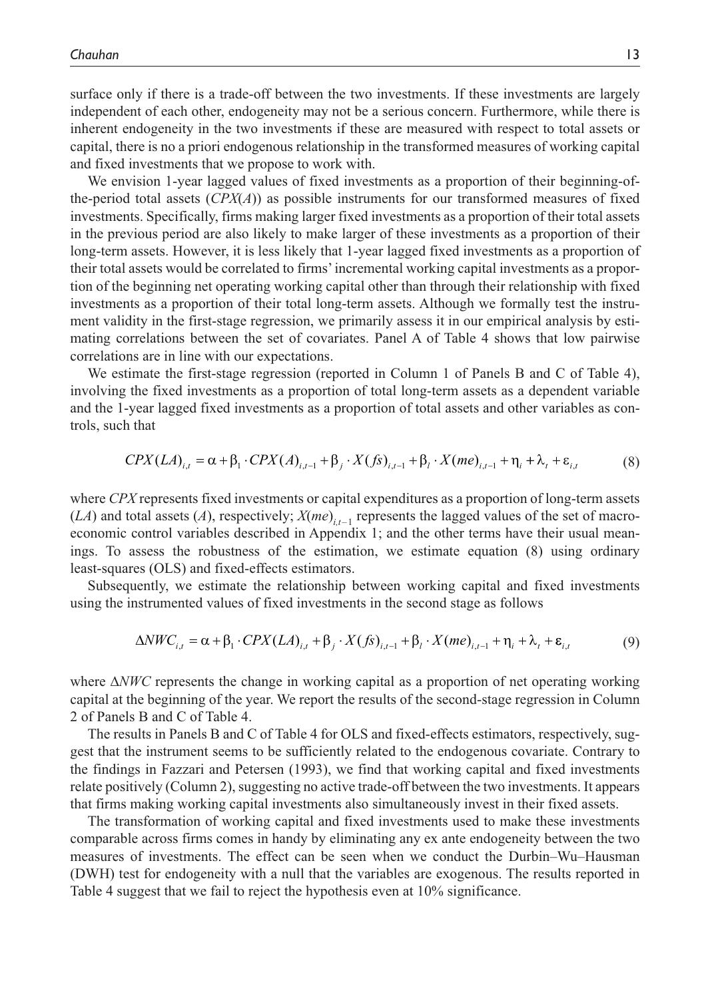surface only if there is a trade-off between the two investments. If these investments are largely independent of each other, endogeneity may not be a serious concern. Furthermore, while there is inherent endogeneity in the two investments if these are measured with respect to total assets or capital, there is no a priori endogenous relationship in the transformed measures of working capital and fixed investments that we propose to work with.

We envision 1-year lagged values of fixed investments as a proportion of their beginning-ofthe-period total assets (*CPX*(*A*)) as possible instruments for our transformed measures of fixed investments. Specifically, firms making larger fixed investments as a proportion of their total assets in the previous period are also likely to make larger of these investments as a proportion of their long-term assets. However, it is less likely that 1-year lagged fixed investments as a proportion of their total assets would be correlated to firms' incremental working capital investments as a proportion of the beginning net operating working capital other than through their relationship with fixed investments as a proportion of their total long-term assets. Although we formally test the instrument validity in the first-stage regression, we primarily assess it in our empirical analysis by estimating correlations between the set of covariates. Panel A of Table 4 shows that low pairwise correlations are in line with our expectations.

We estimate the first-stage regression (reported in Column 1 of Panels B and C of Table 4), involving the fixed investments as a proportion of total long-term assets as a dependent variable and the 1-year lagged fixed investments as a proportion of total assets and other variables as controls, such that

$$
CPX(LA)_{i,t} = \alpha + \beta_1 \cdot CPX(A)_{i,t-1} + \beta_j \cdot X(fS)_{i,t-1} + \beta_l \cdot X(me)_{i,t-1} + \eta_i + \lambda_t + \varepsilon_{i,t}
$$
(8)

where *CPX* represents fixed investments or capital expenditures as a proportion of long-term assets  $(LA)$  and total assets  $(A)$ , respectively;  $X(me)_{i,t-1}$  represents the lagged values of the set of macroeconomic control variables described in Appendix 1; and the other terms have their usual meanings. To assess the robustness of the estimation, we estimate equation (8) using ordinary least-squares (OLS) and fixed-effects estimators.

Subsequently, we estimate the relationship between working capital and fixed investments using the instrumented values of fixed investments in the second stage as follows

$$
\Delta NWC_{i,t} = \alpha + \beta_1 \cdot CPX(LA)_{i,t} + \beta_j \cdot X(fs)_{i,t-1} + \beta_l \cdot X(me)_{i,t-1} + \eta_i + \lambda_t + \varepsilon_{i,t}
$$
(9)

where Δ*NWC* represents the change in working capital as a proportion of net operating working capital at the beginning of the year. We report the results of the second-stage regression in Column 2 of Panels B and C of Table 4.

The results in Panels B and C of Table 4 for OLS and fixed-effects estimators, respectively, suggest that the instrument seems to be sufficiently related to the endogenous covariate. Contrary to the findings in Fazzari and Petersen (1993), we find that working capital and fixed investments relate positively (Column 2), suggesting no active trade-off between the two investments. It appears that firms making working capital investments also simultaneously invest in their fixed assets.

The transformation of working capital and fixed investments used to make these investments comparable across firms comes in handy by eliminating any ex ante endogeneity between the two measures of investments. The effect can be seen when we conduct the Durbin–Wu–Hausman (DWH) test for endogeneity with a null that the variables are exogenous. The results reported in Table 4 suggest that we fail to reject the hypothesis even at 10% significance.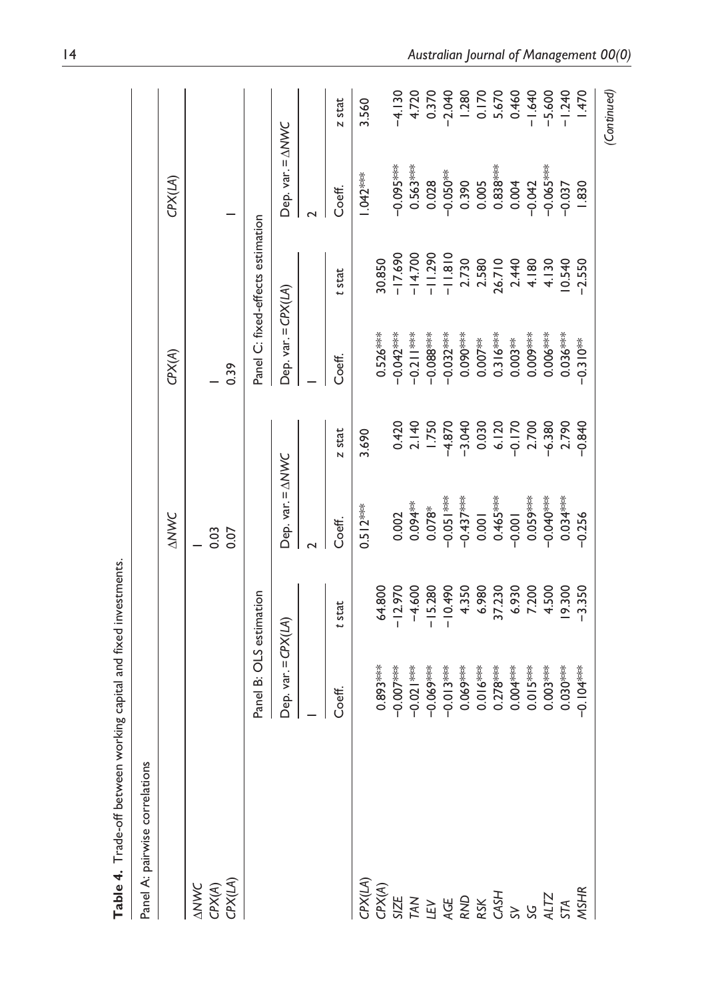| Table 4. Trade-off between wor                                                                                                                                   | king capital and fixed investments. |           |                  |                     |                     |                                   |                  |             |
|------------------------------------------------------------------------------------------------------------------------------------------------------------------|-------------------------------------|-----------|------------------|---------------------|---------------------|-----------------------------------|------------------|-------------|
| Panel A: pairwise correlations                                                                                                                                   |                                     |           |                  |                     |                     |                                   |                  |             |
|                                                                                                                                                                  |                                     |           | <b>ANWC</b>      |                     | CPX(A)              |                                   | CPX(LA)          |             |
| CPX(A)<br>CPX(LA)<br><b>ANWC</b>                                                                                                                                 |                                     |           | 0.03             |                     |                     |                                   |                  |             |
|                                                                                                                                                                  |                                     |           | 0.07             |                     | 0.39                |                                   |                  |             |
|                                                                                                                                                                  | Panel B: OLS estimation             |           |                  |                     |                     | Panel C: fixed-effects estimation |                  |             |
|                                                                                                                                                                  | Dep. var. = CPX(LA)                 |           | Dep. var. = ANWC |                     | Dep. var. = CPX(LA) |                                   | Dep. var. = ANWC |             |
|                                                                                                                                                                  |                                     |           |                  |                     |                     |                                   |                  |             |
|                                                                                                                                                                  | Coeff.                              | t stat    | Coeff.           | z stat              | Coeff.              | tstat                             | Coeff.           | z stat      |
|                                                                                                                                                                  |                                     |           | $0.512***$       | 3.690               |                     |                                   | $1.042***$       | 3.560       |
|                                                                                                                                                                  | $0.893***$                          | 64.800    |                  |                     | $0.526***$          | 30.850                            |                  |             |
|                                                                                                                                                                  | → ***                               | $-12.970$ | 0.002            | 0.420               | $-0.042***$         | $-17.690$                         | $-0.095***$      | $-4.130$    |
|                                                                                                                                                                  | $-0.021***$                         | $-4.600$  | 0.094**          | 2.140               | $-0.211***$         | $-14.700$                         | $0.563***$       | 4.720       |
|                                                                                                                                                                  | $-0.069$                            | $-15.280$ | $0.078*$         | 1.750               | $-0.088***$         | $-11.290$                         | 0.028            | 0.370       |
|                                                                                                                                                                  | $-0.013***$                         | $-10.490$ | $-0.051***$      | $-4.870$            | $-0.032***$         | $-11.810$                         | $-0.050***$      | $-2.040$    |
| <i><b>G G S R E H A S R A S R A F K S R A F A S R A F K S R A F K</b><br/>S K H Z &gt; A B X X P Y A F K<br/>G C S K H Q &amp; &amp; Q &amp; &amp; Q + K K K</i> | 0.069***                            | 4.350     | $-0.437***$      | $-3.040$            | 0.090***            | 2.730                             | 0.390            | 1.280       |
|                                                                                                                                                                  | $0.016***$                          | 6.980     | 0.001            | 0.030               | $0.007**$           | 2.580                             | 0.005            | 0.170       |
|                                                                                                                                                                  | $0.278***$                          | 37.230    | $0.465***$       | 6.120               | $0.316***$          | 26.710                            | $0.838***$       | 5.670       |
|                                                                                                                                                                  | 0.004***                            | 6.930     | $-0.001$         | $-0.170$            | $0.003**$           | 2.440                             | 0.004            | 0.460       |
|                                                                                                                                                                  | $0.015***$                          | 7.200     | $0.059***$       | $2.700$<br>$-6.380$ | 0.00%               | 4.180                             | $-0.042$         | $-1.640$    |
|                                                                                                                                                                  | $0.003***$                          | 4.500     | ***0000-         |                     | 0.006***            | 4.130                             | $-0.065***$      | $-5.600$    |
|                                                                                                                                                                  | $0.030***$                          | 19.300    | $0.034***$       | 2.790               | $0.036***$          | 0.540                             | $-0.037$         | $-1.240$    |
|                                                                                                                                                                  | $-0.104***$                         | $-3.350$  | $-0.256$         | $-0.840$            | $-0.310**$          | $-2.550$                          | 1.830            | 1.470       |
|                                                                                                                                                                  |                                     |           |                  |                     |                     |                                   |                  | (Continued) |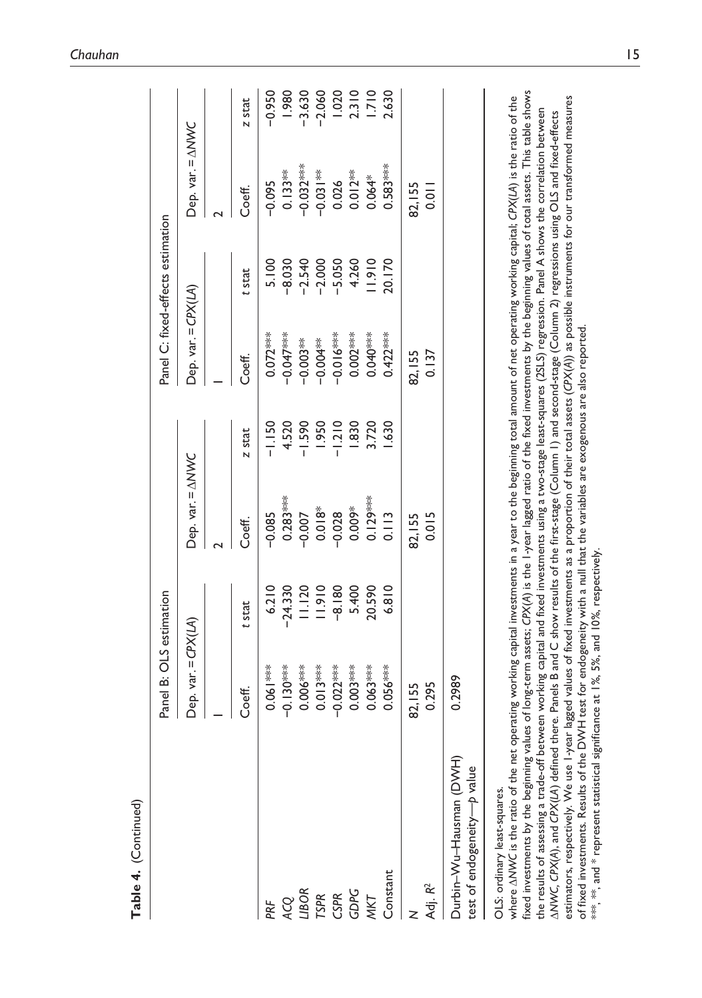| Table 4. (Continued)                                                                                                                                                                                                                                                                                                                                                                                                                                                                                                                                                                                                                                                                                                                                                                                                                                                                                                                                                                                                                                                                                                                                                       | Panel B: OLS estimation |           |                  |          |                     | Panel C: fixed-effects estimation |                       |                               |
|----------------------------------------------------------------------------------------------------------------------------------------------------------------------------------------------------------------------------------------------------------------------------------------------------------------------------------------------------------------------------------------------------------------------------------------------------------------------------------------------------------------------------------------------------------------------------------------------------------------------------------------------------------------------------------------------------------------------------------------------------------------------------------------------------------------------------------------------------------------------------------------------------------------------------------------------------------------------------------------------------------------------------------------------------------------------------------------------------------------------------------------------------------------------------|-------------------------|-----------|------------------|----------|---------------------|-----------------------------------|-----------------------|-------------------------------|
|                                                                                                                                                                                                                                                                                                                                                                                                                                                                                                                                                                                                                                                                                                                                                                                                                                                                                                                                                                                                                                                                                                                                                                            | Dep. var. = CPX(LA)     |           | Dep. var. = ANWC |          | Dep. var. = CPX(LA) |                                   | Dep. var. = ANWC      |                               |
|                                                                                                                                                                                                                                                                                                                                                                                                                                                                                                                                                                                                                                                                                                                                                                                                                                                                                                                                                                                                                                                                                                                                                                            |                         |           |                  |          |                     |                                   |                       |                               |
|                                                                                                                                                                                                                                                                                                                                                                                                                                                                                                                                                                                                                                                                                                                                                                                                                                                                                                                                                                                                                                                                                                                                                                            | Coeff.                  | t stat    | Coeff.           | z stat   | Coeff.              | t stat                            | Coeff.                | z stat                        |
| PRF                                                                                                                                                                                                                                                                                                                                                                                                                                                                                                                                                                                                                                                                                                                                                                                                                                                                                                                                                                                                                                                                                                                                                                        | $0.06$   ***            | 6.210     | $-0.085$         | $-1.150$ | $0.072***$          | 5.100                             | $-0.095$              | $-0.950$                      |
|                                                                                                                                                                                                                                                                                                                                                                                                                                                                                                                                                                                                                                                                                                                                                                                                                                                                                                                                                                                                                                                                                                                                                                            | $-0.130***$             | $-24.330$ | $0.283***$       | 4.520    | $-0.047$ **         | $-8.030$                          | $0.133**$             | 1.980                         |
| ACQ<br>LIBOR<br>TSPR                                                                                                                                                                                                                                                                                                                                                                                                                                                                                                                                                                                                                                                                                                                                                                                                                                                                                                                                                                                                                                                                                                                                                       | $0.006***$              | 11.120    | $-0.007$         | $-1.590$ | $-0.003***$         | $-2.540$                          | $-0.032**$            | $-3.630$                      |
|                                                                                                                                                                                                                                                                                                                                                                                                                                                                                                                                                                                                                                                                                                                                                                                                                                                                                                                                                                                                                                                                                                                                                                            | $0.013***$              | 11.910    | $0.018*$         | 1.950    | $-0.000 -$          | $-2.000$                          | $-0.03$ <sup>**</sup> | $-2.060$                      |
| CSPR                                                                                                                                                                                                                                                                                                                                                                                                                                                                                                                                                                                                                                                                                                                                                                                                                                                                                                                                                                                                                                                                                                                                                                       | $-0.022$ ***            | $-8.180$  | $-0.028$         | $-1.210$ | ***●10:0−           | $-5.050$                          | 0.026                 |                               |
| GDPG                                                                                                                                                                                                                                                                                                                                                                                                                                                                                                                                                                                                                                                                                                                                                                                                                                                                                                                                                                                                                                                                                                                                                                       | $0.003***$              | 5.400     | 0.00%            | 1.830    | 0.002***            | 4.260                             | $0.012**$             | $1.020$<br>$2.310$<br>$1.710$ |
| <b>MKT</b>                                                                                                                                                                                                                                                                                                                                                                                                                                                                                                                                                                                                                                                                                                                                                                                                                                                                                                                                                                                                                                                                                                                                                                 | $0.063***$              | 20.590    | $0.129***$       | 3.720    | 0.040 ***           | 11.910                            | 0.064*                |                               |
| Constant                                                                                                                                                                                                                                                                                                                                                                                                                                                                                                                                                                                                                                                                                                                                                                                                                                                                                                                                                                                                                                                                                                                                                                   | $0.056***$              | 6.810     | 0.113            | .630     | $0.422***$          | 20.170                            | $0.583***$            | 2.630                         |
|                                                                                                                                                                                                                                                                                                                                                                                                                                                                                                                                                                                                                                                                                                                                                                                                                                                                                                                                                                                                                                                                                                                                                                            | 82, 155                 |           | 82, 155          |          | 82, 155             |                                   | 82, 155               |                               |
| Adj. R <sup>2</sup>                                                                                                                                                                                                                                                                                                                                                                                                                                                                                                                                                                                                                                                                                                                                                                                                                                                                                                                                                                                                                                                                                                                                                        | 0.295                   |           | 0.015            |          | 0.137               |                                   | $\frac{1}{2}$         |                               |
| Durbin-Wu-Hausman (DVVH)<br>test of endogeneity-p value                                                                                                                                                                                                                                                                                                                                                                                                                                                                                                                                                                                                                                                                                                                                                                                                                                                                                                                                                                                                                                                                                                                    | 0.2989                  |           |                  |          |                     |                                   |                       |                               |
| fixed investments by the beginning values of long-term assets; CPX(A) is the 1-year lagged ratio of the fixed investments by the beginning values of total assets. This table shows<br>where ANWC is the ratio of the net operating working capital investments in a year to the beginning total amount of net operating working capital; CPX(LA) is the ratio of the<br>estimators, respectively. We use I-year lagged values of fixed investments as a proportion of their total assets (CPX(A)) as possible instruments for our transformed measures<br>the results of assessing a trade-off between working capital and fixed investments using a two-stage least-squares (2SLS) regression. Panel A shows the correlation between<br>ANWC, CPX(A), and CPX(LA) defined there. Panels B and C show results of the first-stage (Column 1) and second-stage (Column 2) regressions using OLS and fixed-effects<br>of fixed investments. Results of the DWH test for endogeneity with a null that the variables are exogenous are also reported.<br>****, ***, and * represent statistical significance at 1%, 5%, and 10%, respectively,<br>OLS: ordinary least-squares. |                         |           |                  |          |                     |                                   |                       |                               |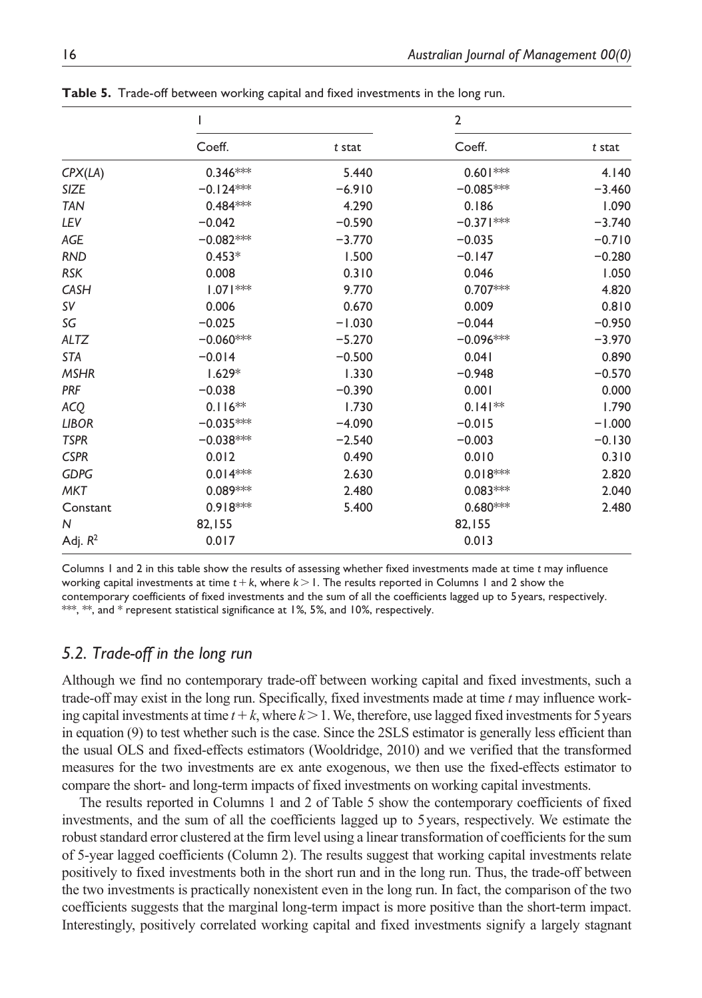|              |             |          | $\overline{2}$ |          |
|--------------|-------------|----------|----------------|----------|
|              | Coeff.      | t stat   | Coeff.         | t stat   |
| CPX(LA)      | $0.346***$  | 5.440    | $0.601***$     | 4.140    |
| SIZE         | $-0.124***$ | $-6.910$ | $-0.085***$    | $-3.460$ |
| <b>TAN</b>   | $0.484***$  | 4.290    | 0.186          | 1.090    |
| LEV          | $-0.042$    | $-0.590$ | $-0.371***$    | $-3.740$ |
| <b>AGE</b>   | $-0.082***$ | $-3.770$ | $-0.035$       | $-0.710$ |
| <b>RND</b>   | $0.453*$    | 1.500    | $-0.147$       | $-0.280$ |
| <b>RSK</b>   | 0.008       | 0.310    | 0.046          | 1.050    |
| CASH         | $1.071***$  | 9.770    | $0.707***$     | 4.820    |
| <b>SV</b>    | 0.006       | 0.670    | 0.009          | 0.810    |
| SG           | $-0.025$    | $-1.030$ | $-0.044$       | $-0.950$ |
| <b>ALTZ</b>  | $-0.060***$ | $-5.270$ | $-0.096***$    | $-3.970$ |
| <b>STA</b>   | $-0.014$    | $-0.500$ | 0.041          | 0.890    |
| <b>MSHR</b>  | $1.629*$    | 1.330    | $-0.948$       | $-0.570$ |
| <b>PRF</b>   | $-0.038$    | $-0.390$ | 0.001          | 0.000    |
| ACQ          | $0.116**$   | 1.730    | $0.141**$      | 1.790    |
| <b>LIBOR</b> | $-0.035***$ | $-4.090$ | $-0.015$       | $-1.000$ |
| <b>TSPR</b>  | $-0.038***$ | $-2.540$ | $-0.003$       | $-0.130$ |
| <b>CSPR</b>  | 0.012       | 0.490    | 0.010          | 0.310    |
| <b>GDPG</b>  | $0.014***$  | 2.630    | $0.018***$     | 2.820    |
| <b>MKT</b>   | $0.089***$  | 2.480    | $0.083***$     | 2.040    |
| Constant     | $0.918***$  | 5.400    | $0.680***$     | 2.480    |
| N            | 82,155      |          | 82,155         |          |
| Adj. $R^2$   | 0.017       |          | 0.013          |          |

**Table 5.** Trade-off between working capital and fixed investments in the long run.

Columns 1 and 2 in this table show the results of assessing whether fixed investments made at time *t* may influence working capital investments at time *t*+*k*, where *k*> 1. The results reported in Columns 1 and 2 show the contemporary coefficients of fixed investments and the sum of all the coefficients lagged up to 5 years, respectively. \*\*\*, \*\*, and \* represent statistical significance at 1%, 5%, and 10%, respectively.

## *5.2. Trade-off in the long run*

Although we find no contemporary trade-off between working capital and fixed investments, such a trade-off may exist in the long run. Specifically, fixed investments made at time *t* may influence working capital investments at time  $t + k$ , where  $k > 1$ . We, therefore, use lagged fixed investments for 5 years in equation (9) to test whether such is the case. Since the 2SLS estimator is generally less efficient than the usual OLS and fixed-effects estimators (Wooldridge, 2010) and we verified that the transformed measures for the two investments are ex ante exogenous, we then use the fixed-effects estimator to compare the short- and long-term impacts of fixed investments on working capital investments.

The results reported in Columns 1 and 2 of Table 5 show the contemporary coefficients of fixed investments, and the sum of all the coefficients lagged up to 5 years, respectively. We estimate the robust standard error clustered at the firm level using a linear transformation of coefficients for the sum of 5-year lagged coefficients (Column 2). The results suggest that working capital investments relate positively to fixed investments both in the short run and in the long run. Thus, the trade-off between the two investments is practically nonexistent even in the long run. In fact, the comparison of the two coefficients suggests that the marginal long-term impact is more positive than the short-term impact. Interestingly, positively correlated working capital and fixed investments signify a largely stagnant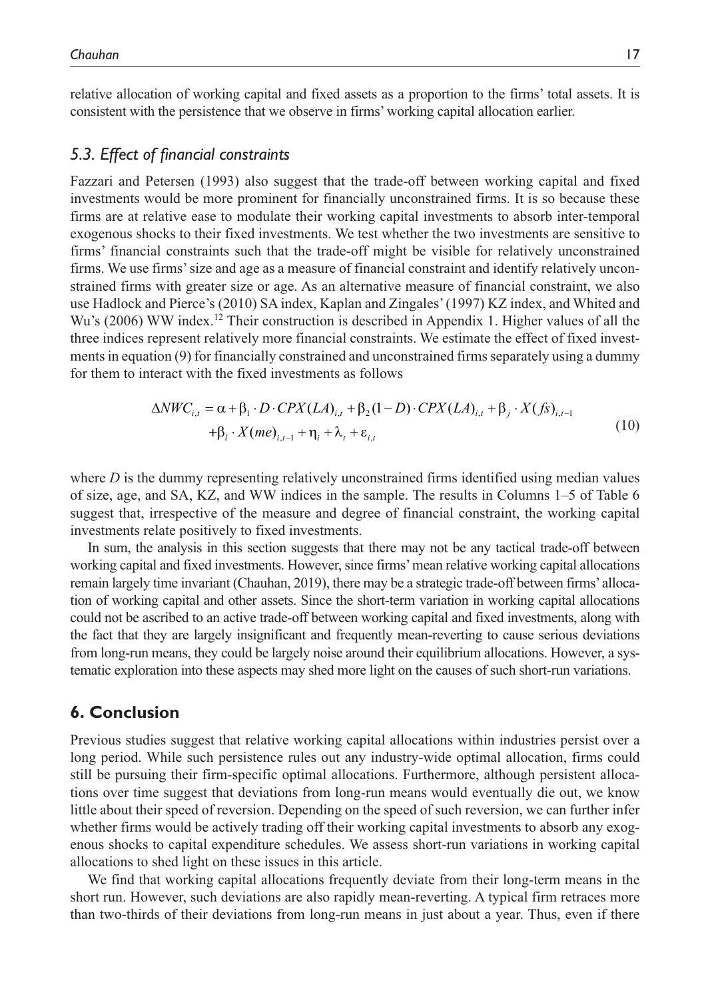relative allocation of working capital and fixed assets as a proportion to the firms' total assets. It is consistent with the persistence that we observe in firms' working capital allocation earlier.

## *5.3. Effect of financial constraints*

Fazzari and Petersen (1993) also suggest that the trade-off between working capital and fixed investments would be more prominent for financially unconstrained firms. It is so because these firms are at relative ease to modulate their working capital investments to absorb inter-temporal exogenous shocks to their fixed investments. We test whether the two investments are sensitive to firms' financial constraints such that the trade-off might be visible for relatively unconstrained firms. We use firms' size and age as a measure of financial constraint and identify relatively unconstrained firms with greater size or age. As an alternative measure of financial constraint, we also use Hadlock and Pierce's (2010) SA index, Kaplan and Zingales' (1997) KZ index, and Whited and Wu's (2006) WW index.<sup>12</sup> Their construction is described in Appendix 1. Higher values of all the three indices represent relatively more financial constraints. We estimate the effect of fixed investments in equation (9) for financially constrained and unconstrained firms separately using a dummy for them to interact with the fixed investments as follows

$$
\Delta NWC_{i,t} = \alpha + \beta_1 \cdot D \cdot CPX(LA)_{i,t} + \beta_2 (1 - D) \cdot CPX(LA)_{i,t} + \beta_j \cdot X(fs)_{i,t-1}
$$
  
+ 
$$
\beta_l \cdot X(me)_{i,t-1} + \eta_i + \lambda_t + \varepsilon_{i,t}
$$
 (10)

where *D* is the dummy representing relatively unconstrained firms identified using median values of size, age, and SA, KZ, and WW indices in the sample. The results in Columns 1–5 of Table 6 suggest that, irrespective of the measure and degree of financial constraint, the working capital investments relate positively to fixed investments.

In sum, the analysis in this section suggests that there may not be any tactical trade-off between working capital and fixed investments. However, since firms' mean relative working capital allocations remain largely time invariant (Chauhan, 2019), there may be a strategic trade-off between firms' allocation of working capital and other assets. Since the short-term variation in working capital allocations could not be ascribed to an active trade-off between working capital and fixed investments, along with the fact that they are largely insignificant and frequently mean-reverting to cause serious deviations from long-run means, they could be largely noise around their equilibrium allocations. However, a systematic exploration into these aspects may shed more light on the causes of such short-run variations.

## **6. Conclusion**

Previous studies suggest that relative working capital allocations within industries persist over a long period. While such persistence rules out any industry-wide optimal allocation, firms could still be pursuing their firm-specific optimal allocations. Furthermore, although persistent allocations over time suggest that deviations from long-run means would eventually die out, we know little about their speed of reversion. Depending on the speed of such reversion, we can further infer whether firms would be actively trading off their working capital investments to absorb any exogenous shocks to capital expenditure schedules. We assess short-run variations in working capital allocations to shed light on these issues in this article.

We find that working capital allocations frequently deviate from their long-term means in the short run. However, such deviations are also rapidly mean-reverting. A typical firm retraces more than two-thirds of their deviations from long-run means in just about a year. Thus, even if there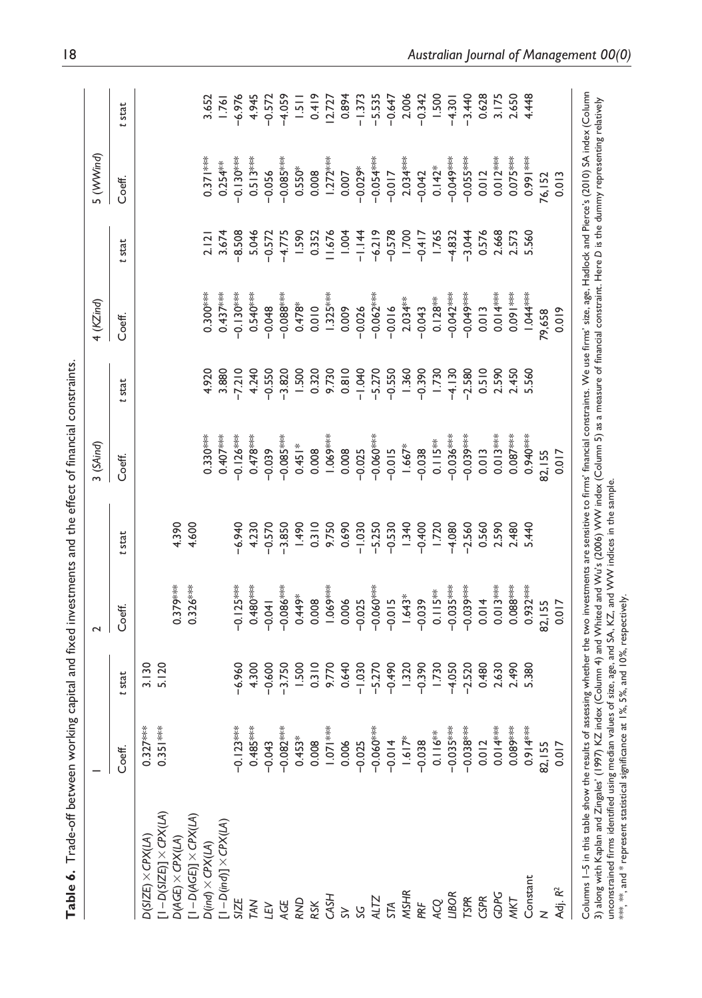|                                                                            |                          |          | $\mathbf{\sim}$ |                                  | 3 (SAind)                |                | 4 (KZind)                 |                                             |                          |                                  |
|----------------------------------------------------------------------------|--------------------------|----------|-----------------|----------------------------------|--------------------------|----------------|---------------------------|---------------------------------------------|--------------------------|----------------------------------|
|                                                                            | Coeff.                   | t stat   | Coeff.          | t stat                           | Coeff.                   | stat           | Coeff.                    | stat                                        | Coeff.                   | t stat                           |
| $[1-D(SIZE)] \times CPX(LA)$<br>D(SIZE) × CPX(LA)                          | $0.327***$<br>$0.351***$ | 3.130    |                 |                                  |                          |                |                           |                                             |                          |                                  |
| $D(AGE) \times CPX(LA)$                                                    |                          |          | $0.379***$      | 4.390                            |                          |                |                           |                                             |                          |                                  |
| [I-D(AGE)] × CPX(LA)                                                       |                          |          | $0.326***$      | 4.600                            |                          |                |                           |                                             |                          |                                  |
| $[1-D(ind)] \times CPX(LA)$<br>$D(\text{ind}) \times CPX(LA)$              |                          |          |                 |                                  | $0.407***$<br>$0.330***$ | 4.920<br>3.880 | $0.300$ ***<br>$0.437***$ | 2.12                                        | $0.371***$<br>$0.254***$ | 3.652<br>1.761                   |
| SIZE                                                                       | $-0.123***$              | $-6.960$ | $-0.125***$     | $-6.940$                         | $-0.126***$              | $-7.210$       | $-0.130$                  | 3.674                                       | $-0.130$                 | $-6.976$                         |
| TAN                                                                        | $0.485***$               | 4.300    | $0.480***$      | 4.230                            | $0.478***$               | 4.240          | $0.540***$                | 5.046                                       | $0.513***$               | 4.945                            |
| ΓEΛ                                                                        | $-0.043$                 | $-0.600$ | $-0.041$        | $-0.570$                         | $-0.039$                 | $-0.550$       | $-0.048$                  | $-0.572$                                    | $-0.056$                 | $-0.572$                         |
| AGE                                                                        | $-0.082***$              | $-3.750$ | $-0.086***$     | $-3.850$                         | $-0.085***$              | $-3.820$       | $-0.088***$               | $-4.775$                                    | $-0.085***$              | $-4.059$                         |
| <b>RND</b>                                                                 | $0.453*$                 | 1.500    | $0.449*$        | 1.490                            | $0.451*$                 | 1.500          | 0.478*                    | 1.590                                       | 0.550*                   | $\overline{1.5}$                 |
| RSK                                                                        | 0.008                    | 0.310    | 0.008           | 0.310                            | 0.008                    | 0.320          | 0.010                     | 0.352                                       | 0.008                    | 0.419                            |
|                                                                            | $1.071***$               | 9.770    | $1.069***$      | 9.750                            | $1.069***$               | 9.730          | $1.325***$                | 11.676                                      | $1.272***$               | 12.727                           |
| CASH<br>S S S ALTZ<br>S S ALTZ<br>S S ALTA<br>S S AC Q<br>T S PR<br>T S PR | 0.006                    | 0.640    | 0.006           | 0.690                            | 0.008                    | 0.810          | 0.009                     | 1.004                                       | 0.007                    | 0.894                            |
|                                                                            | $-0.025$                 | $-1.030$ | $-0.025$        | $-1.030$                         | $-0.025$                 | $-1.040$       | $-0.026$                  | $-1.14$<br>$-6.219$<br>$-0.578$<br>$-1.700$ | $-0.029*$                | $-1.373$                         |
|                                                                            | $-0.060$                 | $-5.270$ | $-0.060$        | $-5.250$                         | $-0.060***$              | $-5.270$       | $-0.062***$               |                                             | $-0.054***$              | $-5.535$                         |
|                                                                            | $-0.014$                 | $-0.490$ | $-0.015$        |                                  | $-0.015$                 | $-0.550$       | $-0.016$                  |                                             | $-0.017$                 | $-0.647$                         |
|                                                                            | $1.617*$                 | 1.320    | 1.643*          | 1.340                            | $1.667*$                 | 1.360          | $2.034***$                |                                             | $2.034***$               | 2.006                            |
|                                                                            | $-0.038$                 | $-0.390$ | $-0.039$        | $-0.400$                         | $-0.038$                 | $-0.390$       | $-0.043$                  | $-0.417$<br>1.765                           | $-0.042$                 | $-0.342$                         |
|                                                                            | $0.116**$                | 1.730    | $0.115**$       | 1.720                            | $0.115**$                | 1.730          | $0.128***$                |                                             | $0.142*$                 | 1.500                            |
|                                                                            | $-0.035***$              | $-4.050$ | $-0.035***$     | $-4.080$                         | $-0.036***$              | $-4.130$       | $-0.042***$               | $-4.832$                                    | $-0.049***$              | $-4.301$                         |
|                                                                            | $-0.038***$              | $-2.520$ | $-0.039***$     | $-2.560$                         | $-0.039***$              | $-2.580$       | $-0.049***$               | $-3.044$                                    | $-0.055***$              | $-3.440$                         |
| CSPR                                                                       | 0.012                    | 0.480    | 0.014           |                                  | 0.013                    | 0.510          | 0.013                     | 0.576                                       | 0.012                    |                                  |
| GDPG                                                                       | $0.014***$               | 2.630    | $0.013***$      |                                  | $0.013***$               | 2.590          | $0.014***$                |                                             | $0.012***$               |                                  |
| MKT                                                                        | $0.089***$               | 2.490    | $0.088***$      | 0.560<br>0.590<br>0.480<br>0.490 | $0.087***$               | 2.450          | $0.091***$                | 2.668<br>2.573                              | $0.075***$               | 0.628<br>3.175<br>2.650<br>4.448 |
| Constant                                                                   | $0.914***$               | 5.380    | $0.932***$      |                                  | $0.940***$               | 5.560          | $1.044***$                | 5.560                                       | $0.991***$               |                                  |
|                                                                            | 82,155                   |          | 82, 155         |                                  | 32, 155                  |                | 79,658                    |                                             | 76,152                   |                                  |
| Adj. R <sup>2</sup>                                                        | 0.017                    |          | 0.017           |                                  | 0.017                    |                | 0.019                     |                                             | 0.013                    |                                  |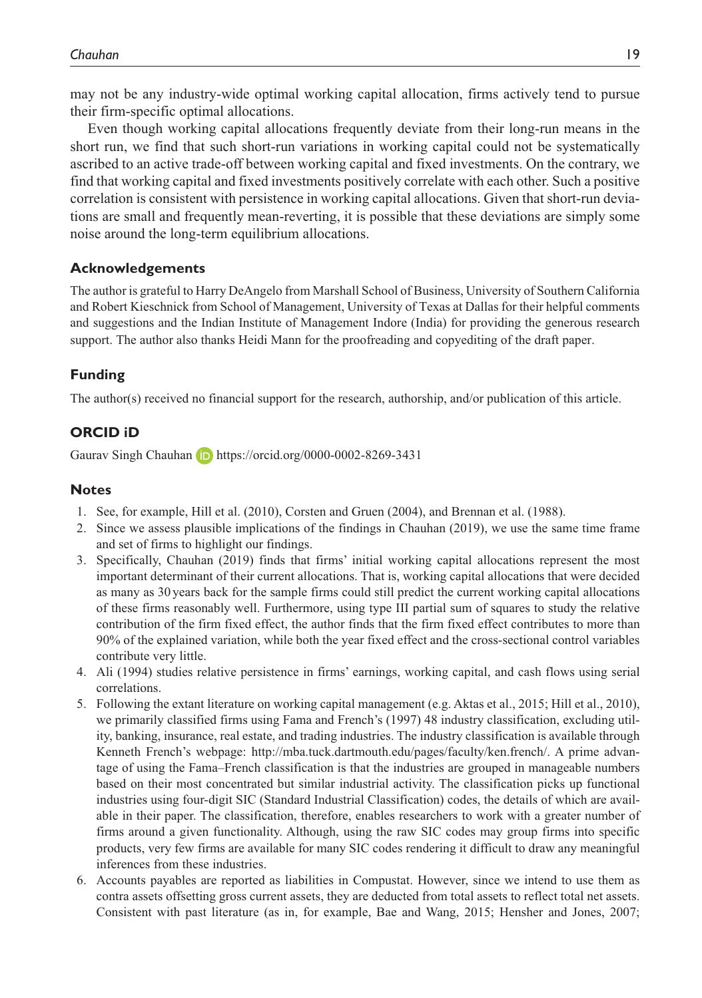may not be any industry-wide optimal working capital allocation, firms actively tend to pursue their firm-specific optimal allocations.

Even though working capital allocations frequently deviate from their long-run means in the short run, we find that such short-run variations in working capital could not be systematically ascribed to an active trade-off between working capital and fixed investments. On the contrary, we find that working capital and fixed investments positively correlate with each other. Such a positive correlation is consistent with persistence in working capital allocations. Given that short-run deviations are small and frequently mean-reverting, it is possible that these deviations are simply some noise around the long-term equilibrium allocations.

#### **Acknowledgements**

The author is grateful to Harry DeAngelo from Marshall School of Business, University of Southern California and Robert Kieschnick from School of Management, University of Texas at Dallas for their helpful comments and suggestions and the Indian Institute of Management Indore (India) for providing the generous research support. The author also thanks Heidi Mann for the proofreading and copyediting of the draft paper.

#### **Funding**

The author(s) received no financial support for the research, authorship, and/or publication of this article.

## **ORCID iD**

Gaurav Singh Chauhan **D** https://orcid.org/0000-0002-8269-3431

#### **Notes**

- 1. See, for example, Hill et al. (2010), Corsten and Gruen (2004), and Brennan et al. (1988).
- 2. Since we assess plausible implications of the findings in Chauhan (2019), we use the same time frame and set of firms to highlight our findings.
- 3. Specifically, Chauhan (2019) finds that firms' initial working capital allocations represent the most important determinant of their current allocations. That is, working capital allocations that were decided as many as 30 years back for the sample firms could still predict the current working capital allocations of these firms reasonably well. Furthermore, using type III partial sum of squares to study the relative contribution of the firm fixed effect, the author finds that the firm fixed effect contributes to more than 90% of the explained variation, while both the year fixed effect and the cross-sectional control variables contribute very little.
- 4. Ali (1994) studies relative persistence in firms' earnings, working capital, and cash flows using serial correlations.
- 5. Following the extant literature on working capital management (e.g. Aktas et al., 2015; Hill et al., 2010), we primarily classified firms using Fama and French's (1997) 48 industry classification, excluding utility, banking, insurance, real estate, and trading industries. The industry classification is available through Kenneth French's webpage: http://mba.tuck.dartmouth.edu/pages/faculty/ken.french/. A prime advantage of using the Fama–French classification is that the industries are grouped in manageable numbers based on their most concentrated but similar industrial activity. The classification picks up functional industries using four-digit SIC (Standard Industrial Classification) codes, the details of which are available in their paper. The classification, therefore, enables researchers to work with a greater number of firms around a given functionality. Although, using the raw SIC codes may group firms into specific products, very few firms are available for many SIC codes rendering it difficult to draw any meaningful inferences from these industries.
- 6. Accounts payables are reported as liabilities in Compustat. However, since we intend to use them as contra assets offsetting gross current assets, they are deducted from total assets to reflect total net assets. Consistent with past literature (as in, for example, Bae and Wang, 2015; Hensher and Jones, 2007;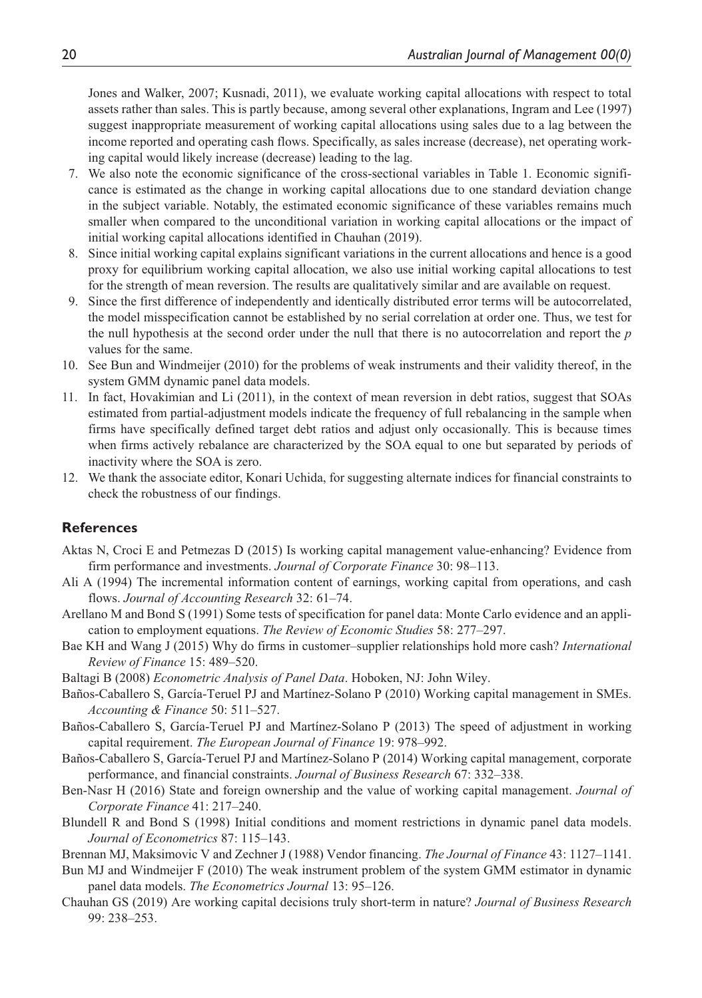Jones and Walker, 2007; Kusnadi, 2011), we evaluate working capital allocations with respect to total assets rather than sales. This is partly because, among several other explanations, Ingram and Lee (1997) suggest inappropriate measurement of working capital allocations using sales due to a lag between the income reported and operating cash flows. Specifically, as sales increase (decrease), net operating working capital would likely increase (decrease) leading to the lag.

- 7. We also note the economic significance of the cross-sectional variables in Table 1. Economic significance is estimated as the change in working capital allocations due to one standard deviation change in the subject variable. Notably, the estimated economic significance of these variables remains much smaller when compared to the unconditional variation in working capital allocations or the impact of initial working capital allocations identified in Chauhan (2019).
- 8. Since initial working capital explains significant variations in the current allocations and hence is a good proxy for equilibrium working capital allocation, we also use initial working capital allocations to test for the strength of mean reversion. The results are qualitatively similar and are available on request.
- 9. Since the first difference of independently and identically distributed error terms will be autocorrelated, the model misspecification cannot be established by no serial correlation at order one. Thus, we test for the null hypothesis at the second order under the null that there is no autocorrelation and report the *p* values for the same.
- 10. See Bun and Windmeijer (2010) for the problems of weak instruments and their validity thereof, in the system GMM dynamic panel data models.
- 11. In fact, Hovakimian and Li (2011), in the context of mean reversion in debt ratios, suggest that SOAs estimated from partial-adjustment models indicate the frequency of full rebalancing in the sample when firms have specifically defined target debt ratios and adjust only occasionally. This is because times when firms actively rebalance are characterized by the SOA equal to one but separated by periods of inactivity where the SOA is zero.
- 12. We thank the associate editor, Konari Uchida, for suggesting alternate indices for financial constraints to check the robustness of our findings.

#### **References**

- Aktas N, Croci E and Petmezas D (2015) Is working capital management value-enhancing? Evidence from firm performance and investments. *Journal of Corporate Finance* 30: 98–113.
- Ali A (1994) The incremental information content of earnings, working capital from operations, and cash flows. *Journal of Accounting Research* 32: 61–74.
- Arellano M and Bond S (1991) Some tests of specification for panel data: Monte Carlo evidence and an application to employment equations. *The Review of Economic Studies* 58: 277–297.
- Bae KH and Wang J (2015) Why do firms in customer–supplier relationships hold more cash? *International Review of Finance* 15: 489–520.

Baltagi B (2008) *Econometric Analysis of Panel Data*. Hoboken, NJ: John Wiley.

- Baños-Caballero S, García-Teruel PJ and Martínez-Solano P (2010) Working capital management in SMEs. *Accounting & Finance* 50: 511–527.
- Baños-Caballero S, García-Teruel PJ and Martínez-Solano P (2013) The speed of adjustment in working capital requirement. *The European Journal of Finance* 19: 978–992.
- Baños-Caballero S, García-Teruel PJ and Martínez-Solano P (2014) Working capital management, corporate performance, and financial constraints. *Journal of Business Research* 67: 332–338.
- Ben-Nasr H (2016) State and foreign ownership and the value of working capital management. *Journal of Corporate Finance* 41: 217–240.
- Blundell R and Bond S (1998) Initial conditions and moment restrictions in dynamic panel data models. *Journal of Econometrics* 87: 115–143.
- Brennan MJ, Maksimovic V and Zechner J (1988) Vendor financing. *The Journal of Finance* 43: 1127–1141.
- Bun MJ and Windmeijer F (2010) The weak instrument problem of the system GMM estimator in dynamic panel data models. *The Econometrics Journal* 13: 95–126.
- Chauhan GS (2019) Are working capital decisions truly short-term in nature? *Journal of Business Research* 99: 238–253.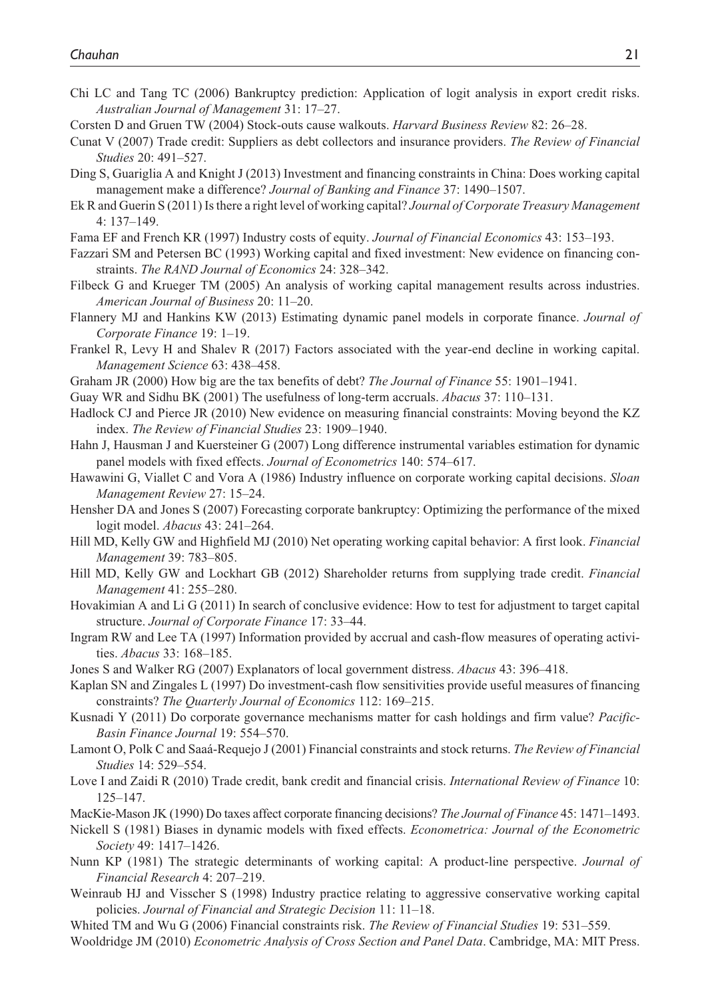- Chi LC and Tang TC (2006) Bankruptcy prediction: Application of logit analysis in export credit risks. *Australian Journal of Management* 31: 17–27.
- Corsten D and Gruen TW (2004) Stock-outs cause walkouts. *Harvard Business Review* 82: 26–28.
- Cunat V (2007) Trade credit: Suppliers as debt collectors and insurance providers. *The Review of Financial Studies* 20: 491–527.
- Ding S, Guariglia A and Knight J (2013) Investment and financing constraints in China: Does working capital management make a difference? *Journal of Banking and Finance* 37: 1490–1507.
- Ek R and Guerin S (2011) Is there a right level of working capital? *Journal of Corporate Treasury Management* 4: 137–149.
- Fama EF and French KR (1997) Industry costs of equity. *Journal of Financial Economics* 43: 153–193.
- Fazzari SM and Petersen BC (1993) Working capital and fixed investment: New evidence on financing constraints. *The RAND Journal of Economics* 24: 328–342.
- Filbeck G and Krueger TM (2005) An analysis of working capital management results across industries. *American Journal of Business* 20: 11–20.
- Flannery MJ and Hankins KW (2013) Estimating dynamic panel models in corporate finance. *Journal of Corporate Finance* 19: 1–19.
- Frankel R, Levy H and Shalev R (2017) Factors associated with the year-end decline in working capital. *Management Science* 63: 438–458.
- Graham JR (2000) How big are the tax benefits of debt? *The Journal of Finance* 55: 1901–1941.
- Guay WR and Sidhu BK (2001) The usefulness of long-term accruals. *Abacus* 37: 110–131.
- Hadlock CJ and Pierce JR (2010) New evidence on measuring financial constraints: Moving beyond the KZ index. *The Review of Financial Studies* 23: 1909–1940.
- Hahn J, Hausman J and Kuersteiner G (2007) Long difference instrumental variables estimation for dynamic panel models with fixed effects. *Journal of Econometrics* 140: 574–617.
- Hawawini G, Viallet C and Vora A (1986) Industry influence on corporate working capital decisions. *Sloan Management Review* 27: 15–24.
- Hensher DA and Jones S (2007) Forecasting corporate bankruptcy: Optimizing the performance of the mixed logit model. *Abacus* 43: 241–264.
- Hill MD, Kelly GW and Highfield MJ (2010) Net operating working capital behavior: A first look. *Financial Management* 39: 783–805.
- Hill MD, Kelly GW and Lockhart GB (2012) Shareholder returns from supplying trade credit. *Financial Management* 41: 255–280.
- Hovakimian A and Li G (2011) In search of conclusive evidence: How to test for adjustment to target capital structure. *Journal of Corporate Finance* 17: 33–44.
- Ingram RW and Lee TA (1997) Information provided by accrual and cash-flow measures of operating activities. *Abacus* 33: 168–185.
- Jones S and Walker RG (2007) Explanators of local government distress. *Abacus* 43: 396–418.
- Kaplan SN and Zingales L (1997) Do investment-cash flow sensitivities provide useful measures of financing constraints? *The Quarterly Journal of Economics* 112: 169–215.
- Kusnadi Y (2011) Do corporate governance mechanisms matter for cash holdings and firm value? *Pacific-Basin Finance Journal* 19: 554–570.
- Lamont O, Polk C and Saaá-Requejo J (2001) Financial constraints and stock returns. *The Review of Financial Studies* 14: 529–554.
- Love I and Zaidi R (2010) Trade credit, bank credit and financial crisis. *International Review of Finance* 10: 125–147.
- MacKie-Mason JK (1990) Do taxes affect corporate financing decisions? *The Journal of Finance* 45: 1471–1493.
- Nickell S (1981) Biases in dynamic models with fixed effects. *Econometrica: Journal of the Econometric Society* 49: 1417–1426.
- Nunn KP (1981) The strategic determinants of working capital: A product-line perspective. *Journal of Financial Research* 4: 207–219.
- Weinraub HJ and Visscher S (1998) Industry practice relating to aggressive conservative working capital policies. *Journal of Financial and Strategic Decision* 11: 11–18.
- Whited TM and Wu G (2006) Financial constraints risk. *The Review of Financial Studies* 19: 531–559.
- Wooldridge JM (2010) *Econometric Analysis of Cross Section and Panel Data*. Cambridge, MA: MIT Press.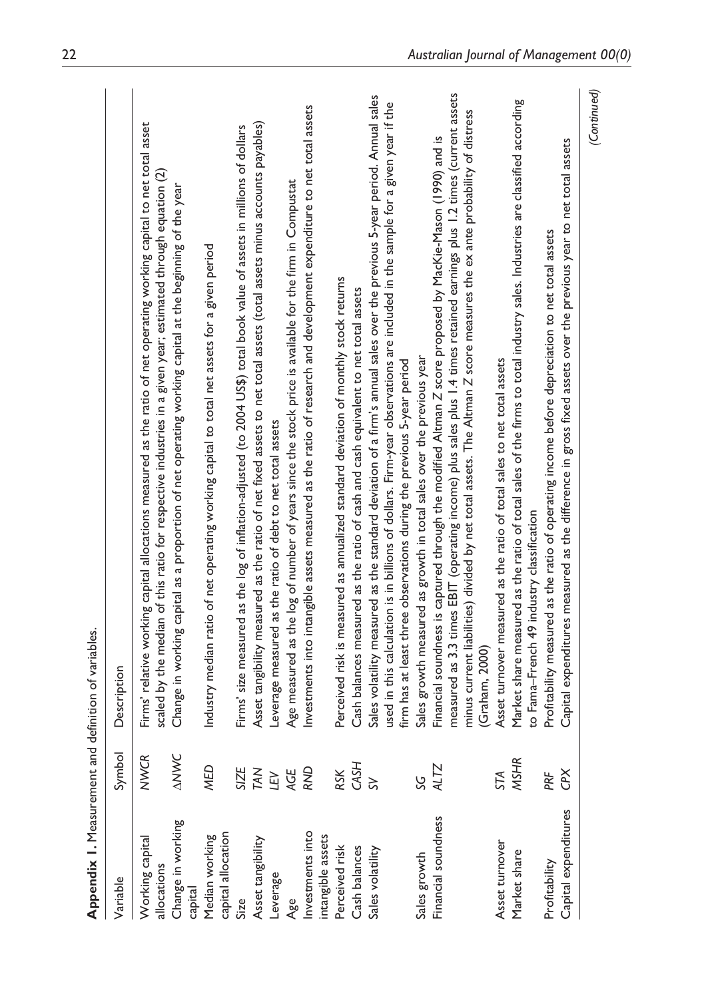| Appendix 1. Measurement and definition of variables. |                      |                                                                                                                                                                                                                                                                                                                                                                                     |
|------------------------------------------------------|----------------------|-------------------------------------------------------------------------------------------------------------------------------------------------------------------------------------------------------------------------------------------------------------------------------------------------------------------------------------------------------------------------------------|
| Variable                                             | Symbol               | Description                                                                                                                                                                                                                                                                                                                                                                         |
| Working capital<br>allocations                       | <b>NWCR</b>          | Firms' relative working capital allocations measured as the ratio of net operating working capital to net total asset<br>scaled by the median of this ratio for respective industries in a given year; estimated through equation (2)                                                                                                                                               |
| Change in working<br>capital                         | <b>ANWC</b>          | Change in working capital as a proportion of net operating working capital at the beginning of the year                                                                                                                                                                                                                                                                             |
| capital allocation<br>Median working                 | MED                  | Industry median ratio of net operating working capital to total net assets for a given period                                                                                                                                                                                                                                                                                       |
| Size                                                 |                      | Firms' size measured as the log of inflation-adjusted (to 2004 US\$) total book value of assets in millions of dollars                                                                                                                                                                                                                                                              |
| Asset tangibility                                    | 2022<br>2022<br>2022 | Asset tangibility measured as the ratio of net fixed assets to net total assets (total assets minus accounts payables)                                                                                                                                                                                                                                                              |
| Leverage                                             |                      | Leverage measured as the ratio of debt to net total assets                                                                                                                                                                                                                                                                                                                          |
| Age                                                  |                      | Age measured as the log of number of years since the stock price is available for the firm in Compustat                                                                                                                                                                                                                                                                             |
| Investments into                                     |                      | Investments into intangible assets measured as the ratio of research and development expenditure to net total assets                                                                                                                                                                                                                                                                |
| intangible assets                                    |                      |                                                                                                                                                                                                                                                                                                                                                                                     |
| Perceived risk                                       |                      | Perceived risk is measured as annualized standard deviation of monthly stock returns                                                                                                                                                                                                                                                                                                |
| Cash balances                                        | RSK<br>CASH<br>SV    | Cash balances measured as the ratio of cash and cash equivalent to net total assets                                                                                                                                                                                                                                                                                                 |
| Sales volatility                                     |                      | Sales volatility measured as the standard deviation of a firm's annual sales over the previous 5-year period. Annual sales<br>used in this calculation is in billions of dollars. Firm-year observations are included in the sample for a given year if the                                                                                                                         |
|                                                      |                      | firm has at least three observations during the previous 5-year period                                                                                                                                                                                                                                                                                                              |
| Sales growth                                         | ყ                    | Sales growth measured as growth in total sales over the previous year                                                                                                                                                                                                                                                                                                               |
| Financial soundness                                  | ALTZ                 | measured as 3.3 times EBIT (operating income) plus sales plus 1.4 times retained earnings plus 1.2 times (current assets<br>minus current liabilities) divided by net total assets. The Altman Z score measures the ex ante probability of distress<br>Financial soundness is captured through the modified Altman Z score proposed by MacKie-Mason (1990) and is<br>(Graham, 2000) |
| Asset turnover                                       | STA                  | Asset turnover measured as the ratio of total sales to net total assets                                                                                                                                                                                                                                                                                                             |
| Market share                                         | <b>MSHR</b>          | Market share measured as the ratio of total sales of the firms to total industry sales. Industries are classified according<br>to Fama-French 49 industry classification                                                                                                                                                                                                            |
| Profitability                                        | PRF                  | Profitability measured as the ratio of operating income before depreciation to net total assets                                                                                                                                                                                                                                                                                     |
| Capital expenditures                                 | ě                    | Capital expenditures measured as the difference in gross fixed assets over the previous year to net total assets                                                                                                                                                                                                                                                                    |
|                                                      |                      | (Continued)                                                                                                                                                                                                                                                                                                                                                                         |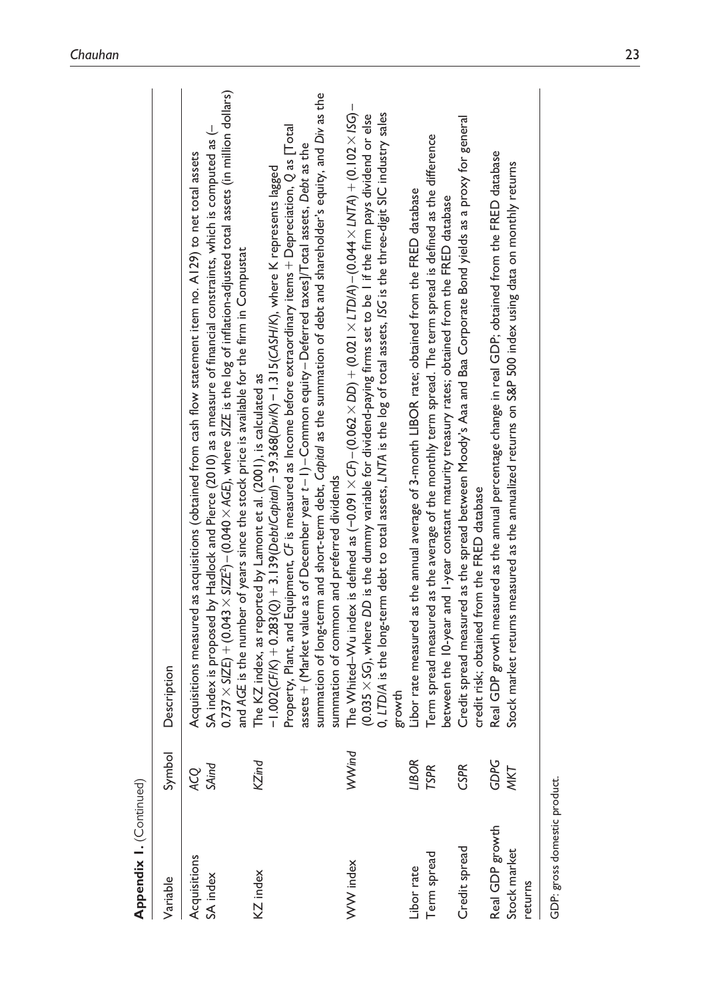| Appendix I. (Continued)                    |                             |                                                                                                                                                                                                                                                                                                                                                                                                                                                                                                                                                |
|--------------------------------------------|-----------------------------|------------------------------------------------------------------------------------------------------------------------------------------------------------------------------------------------------------------------------------------------------------------------------------------------------------------------------------------------------------------------------------------------------------------------------------------------------------------------------------------------------------------------------------------------|
| Variable                                   | Symbol                      | Description                                                                                                                                                                                                                                                                                                                                                                                                                                                                                                                                    |
| Acquisitions<br>SA index                   | SAind<br><b>ACQ</b>         | 0.737 $\times$ SIZE) + (0.043 $\times$ SIZE <sup>2</sup> ) –(0.040 $\times$ AGE), where SIZE is the log of inflation-adjusted total assets (in million dollars)<br>SA index is proposed by Hadlock and Pierce (2010) as a measure of financial constraints, which is computed as ( $-$<br>Acquisitions measured as acquisitions (obtained from cash flow statement item no. A129) to net total assets<br>and AGE is the number of years since the stock price is available for the firm in Compustat                                           |
| KZ index                                   | KZind                       | summation of long-term and short-term debt, <i>Capital</i> as the summation of debt and shareholder's equity, and Div as the<br>Property, Plant, and Equipment, CF is measured as Income before extraordinary items + Depreciation, Q as [Total<br>assets + (Market value as of December year t- l)–Common equity–Deferred taxes]/Total assets, Debt as the<br>-1.002(CF/K) + 0.283(Q) + 3.139(Debt/Capital) - 39.368(Div/K) - 1.315(CASH/K), where K represents lagged<br>The KZ index, as reported by Lamont et al. (2001), is calculated as |
| WW index                                   | WWind                       | The Whited–Wu index is defined as (=0.09) × CP) –(0.02) × DD) + (0.09) × LTD/A) –(0.044 × LNTA) + (0.1 × LSG) –<br>0. LTD/A is the long-term debt to total assets, LNTA is the log of total assets, ISG is the three-digit SIC industry sales<br>(0.035 $\times$ SG), where DD is the dummy variable for dividend-paying firms set to be 1 if the firm pays dividend or else<br>summation of common and preferred dividends<br>growth                                                                                                          |
| erm spread<br>Libor rate                   | <b>LIBOR</b><br><b>TSPR</b> | Term spread measured as the average of the monthly term spread. The term spread is defined as the difference<br>Libor rate measured as the annual average of 3-month LIBOR rate; obtained from the FRED database<br>between the 10-year and 1-year constant maturity treasury rates; obtained from the FRED database                                                                                                                                                                                                                           |
| Credit spread                              | <b>CSPR</b>                 | Credit spread measured as the spread between Moody's Aaa and Baa Corporate Bond yields as a proxy for general<br>credit risk; obtained from the FRED database                                                                                                                                                                                                                                                                                                                                                                                  |
| Real GDP growth<br>Stock market<br>returns | <b>GDPG</b><br>MKT          | Real GDP growth measured as the annual percentage change in real GDP; obtained from the FRED database<br>Stock market returns measured as the annualized returns on S&P 500 index using data on monthly returns                                                                                                                                                                                                                                                                                                                                |
| GDP: gross domestic product.               |                             |                                                                                                                                                                                                                                                                                                                                                                                                                                                                                                                                                |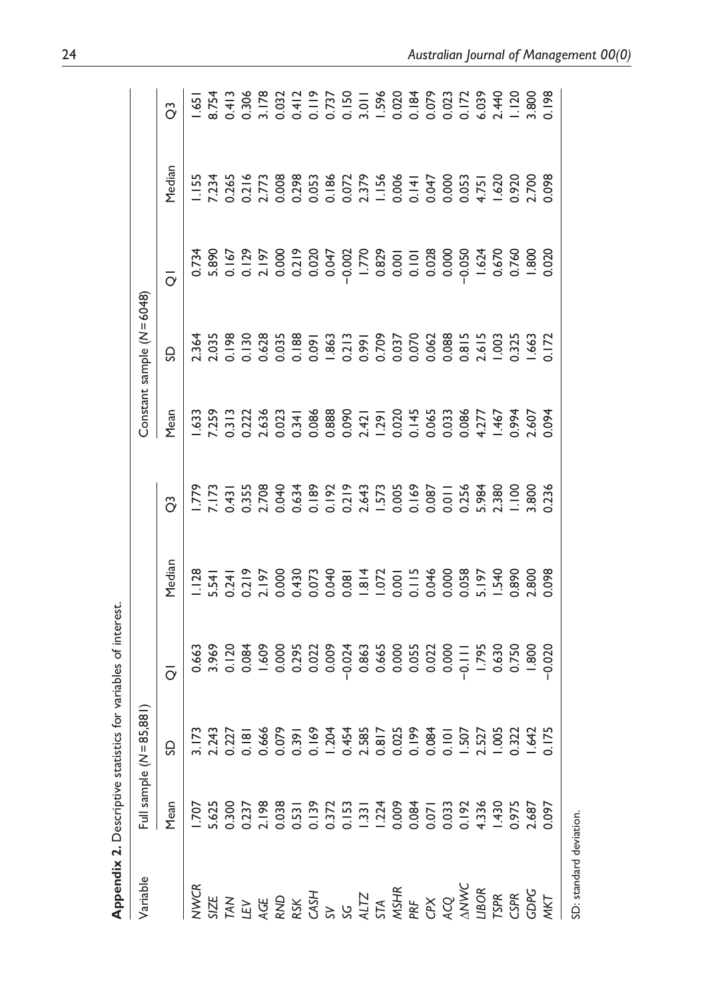|                                                                                                                                                                                                                                                                                                                                                                                            | <b>Appendix 2. Descriptive statistics</b> |          | for variables of interest |        |                 |      |                            |                |        |                                                                                                                                                                                                                                                                                                    |
|--------------------------------------------------------------------------------------------------------------------------------------------------------------------------------------------------------------------------------------------------------------------------------------------------------------------------------------------------------------------------------------------|-------------------------------------------|----------|---------------------------|--------|-----------------|------|----------------------------|----------------|--------|----------------------------------------------------------------------------------------------------------------------------------------------------------------------------------------------------------------------------------------------------------------------------------------------------|
| Variable                                                                                                                                                                                                                                                                                                                                                                                   | Full sample $(N=8$                        | 5,881)   |                           |        |                 |      | Constant sample (N = 6048) |                |        |                                                                                                                                                                                                                                                                                                    |
|                                                                                                                                                                                                                                                                                                                                                                                            | Mean                                      | <b>G</b> | $\overline{O}$            | Median | $\tilde{\rm o}$ | Mean | GS                         | $\overline{O}$ | Median | $\tilde{\rm o}$                                                                                                                                                                                                                                                                                    |
| <b>NWCR</b>                                                                                                                                                                                                                                                                                                                                                                                | 1.707                                     |          |                           |        |                 |      |                            |                |        | $\begin{array}{cccccccccccccccccccccccccccccccccc} 55.7 & 0.00 & 0.00 & 0.00 & 0.00 & 0.00 & 0.00 & 0.00 & 0.00 & 0.00 & 0.00 & 0.00 & 0.00 & 0.00 & 0.00 & 0.00 & 0.00 & 0.00 & 0.00 & 0.00 & 0.00 & 0.00 & 0.00 & 0.00 & 0.00 & 0.00 & 0.00 & 0.00 & 0.00 & 0.00 & 0.00 & 0.00 & 0.00 & 0.00 & $ |
|                                                                                                                                                                                                                                                                                                                                                                                            |                                           |          |                           |        |                 |      |                            |                |        |                                                                                                                                                                                                                                                                                                    |
| $\begin{array}{l} 24 \leq \frac{1}{2} \leq \frac{1}{2} \leq \frac{1}{2} \leq \frac{1}{2} \leq \frac{1}{2} \leq \frac{1}{2} \leq \frac{1}{2} \leq \frac{1}{2} \leq \frac{1}{2} \leq \frac{1}{2} \leq \frac{1}{2} \leq \frac{1}{2} \leq \frac{1}{2} \leq \frac{1}{2} \leq \frac{1}{2} \leq \frac{1}{2} \leq \frac{1}{2} \leq \frac{1}{2} \leq \frac{1}{2} \leq \frac{1}{2} \leq \frac{1}{2}$ |                                           |          |                           |        |                 |      |                            |                |        |                                                                                                                                                                                                                                                                                                    |
|                                                                                                                                                                                                                                                                                                                                                                                            |                                           |          |                           |        |                 |      |                            |                |        |                                                                                                                                                                                                                                                                                                    |
|                                                                                                                                                                                                                                                                                                                                                                                            |                                           |          |                           |        |                 |      |                            |                |        |                                                                                                                                                                                                                                                                                                    |
|                                                                                                                                                                                                                                                                                                                                                                                            |                                           |          |                           |        |                 |      |                            |                |        |                                                                                                                                                                                                                                                                                                    |
|                                                                                                                                                                                                                                                                                                                                                                                            |                                           |          |                           |        |                 |      |                            |                |        |                                                                                                                                                                                                                                                                                                    |
|                                                                                                                                                                                                                                                                                                                                                                                            |                                           |          |                           |        |                 |      |                            |                |        |                                                                                                                                                                                                                                                                                                    |
|                                                                                                                                                                                                                                                                                                                                                                                            |                                           |          |                           |        |                 |      |                            |                |        |                                                                                                                                                                                                                                                                                                    |
|                                                                                                                                                                                                                                                                                                                                                                                            |                                           |          |                           |        |                 |      |                            |                |        |                                                                                                                                                                                                                                                                                                    |
|                                                                                                                                                                                                                                                                                                                                                                                            |                                           |          |                           |        |                 |      |                            |                |        |                                                                                                                                                                                                                                                                                                    |
|                                                                                                                                                                                                                                                                                                                                                                                            |                                           |          |                           |        |                 |      |                            |                |        |                                                                                                                                                                                                                                                                                                    |
|                                                                                                                                                                                                                                                                                                                                                                                            |                                           |          |                           |        |                 |      |                            |                |        |                                                                                                                                                                                                                                                                                                    |
|                                                                                                                                                                                                                                                                                                                                                                                            |                                           |          |                           |        |                 |      |                            |                |        |                                                                                                                                                                                                                                                                                                    |
|                                                                                                                                                                                                                                                                                                                                                                                            |                                           |          |                           |        |                 |      |                            |                |        |                                                                                                                                                                                                                                                                                                    |
|                                                                                                                                                                                                                                                                                                                                                                                            |                                           |          |                           |        |                 |      |                            |                |        |                                                                                                                                                                                                                                                                                                    |
|                                                                                                                                                                                                                                                                                                                                                                                            |                                           |          |                           |        |                 |      |                            |                |        |                                                                                                                                                                                                                                                                                                    |
|                                                                                                                                                                                                                                                                                                                                                                                            |                                           |          |                           |        |                 |      |                            |                |        |                                                                                                                                                                                                                                                                                                    |
|                                                                                                                                                                                                                                                                                                                                                                                            |                                           |          |                           |        |                 |      |                            |                |        |                                                                                                                                                                                                                                                                                                    |
|                                                                                                                                                                                                                                                                                                                                                                                            |                                           |          |                           |        |                 |      |                            |                |        |                                                                                                                                                                                                                                                                                                    |
|                                                                                                                                                                                                                                                                                                                                                                                            |                                           |          |                           |        |                 |      |                            |                |        |                                                                                                                                                                                                                                                                                                    |
|                                                                                                                                                                                                                                                                                                                                                                                            | 0.097                                     |          |                           |        |                 |      |                            |                |        |                                                                                                                                                                                                                                                                                                    |
| SD: standard deviation.                                                                                                                                                                                                                                                                                                                                                                    |                                           |          |                           |        |                 |      |                            |                |        |                                                                                                                                                                                                                                                                                                    |